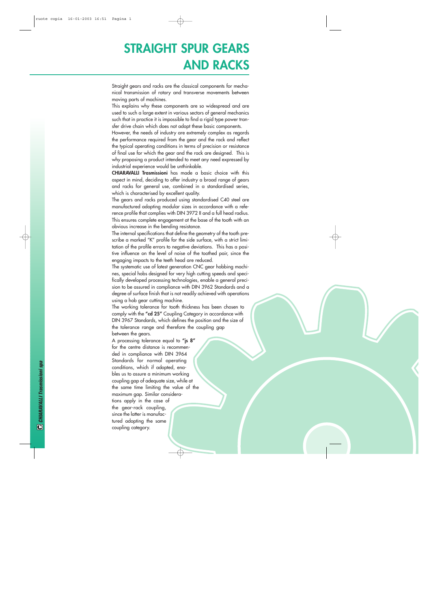## **STRAIGHT SPUR GEARS AND RACKS**

Straight gears and racks are the classical components for mechanical transmission of rotary and transverse movements between moving parts of machines.

This explains why these components are so widespread and are used to such a large extent in various sectors of general mechanics such that in practice it is impossible to find a rigid type power transfer drive chain which does not adopt these basic components.

However, the needs of industry are extremely complex as regards the performance required from the gear and the rack and reflect the typical operating conditions in terms of precision or resistance of final use for which the gear and the rack are designed. This is why proposing a product intended to meet any need expressed by industrial experience would be unthinkable.

**CHIARAVALLI Trasmissioni** has made a basic choice with this aspect in mind, deciding to offer industry a broad range of gears and racks for general use, combined in a standardised series, which is characterised by excellent quality.

The gears and racks produced using standardised C40 steel are manufactured adopting modular sizes in accordance with a reference profile that complies with DIN 3972 II and a full head radius. This ensures complete engagement at the base of the tooth with an obvious increase in the bending resistance.

The internal specifications that define the geometry of the tooth prescribe a marked "K" profile for the side surface, with a strict limitation of the profile errors to negative deviations. This has a positive influence on the level of noise of the toothed pair, since the engaging impacts to the teeth head are reduced.

The systematic use of latest generation CNC gear hobbing machines, special hobs designed for very high cutting speeds and specifically developed processing technologies, enable a general precision to be assured in compliance with DIN 3962 Standards and a degree of surface finish that is not readily achieved with operations using a hob gear cutting machine.

The working tolerance for tooth thickness has been chosen to comply with the **"cd 25"** Coupling Category in accordance with DIN 3967 Standards, which defines the position and the size of the tolerance range and therefore the coupling gap between the gears.

A processing tolerance equal to **"js 8 "** for the centre distance is recommended in compliance with DIN 3964 Standards for normal operating conditions, which if adopted, enables us to assure a minimum working coupling gap of adequate size, while at the same time limiting the value of the maximum gap. Similar considerations apply in the case of the gear-rack coupling, since the latter is manufactured adopting the same coupling category.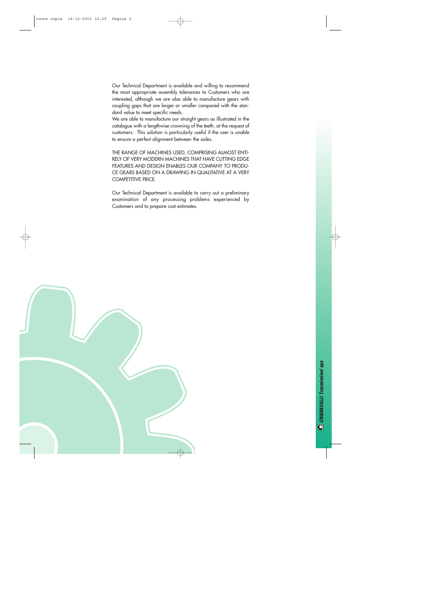Our Technical Department is available and willing to recommend the most appropriate assembly tolerances to Customers who are interested, although we are also able to manufacture gears with coupling gaps that are larger or smaller compared with the standard value to meet specific needs.

We are able to manufacture our straight gears as illustrated in the catalogue with a lengthwise crowning of the teeth, at the request of customers. This solution is particularly useful if the user is unable to ensure a perfect alignment between the axles.

THE RANGE OF MACHINES USED, COMPRISING ALMOST ENTI-RELY OF VERY MODERN MACHINES THAT HAVE CUTTING EDGE FEATURES AND DESIGN ENABLES OUR COMPANY TO PRODU-CE GEARS BASED ON A DRAWING IN QUALITATIVE AT A VERY COMPETITIVE PRICE.

Our Technical Department is available to carry out a preliminary examination of any processing problems experienced by Customers and to prepare cost estimates.

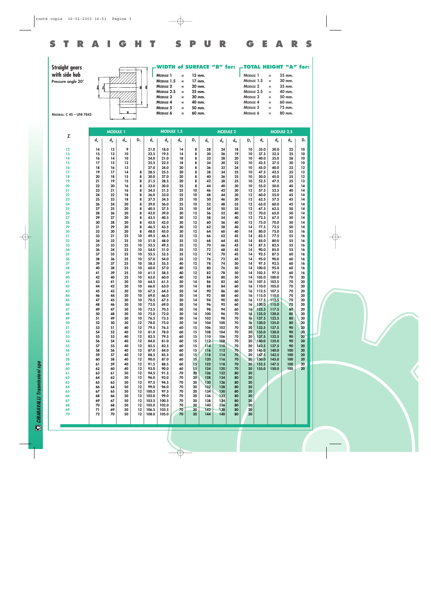

**WIDTH of SURFACE "B" for: Straight gears TOTAL HEIGHT "A" for: with side hub MODULE 1 = 15 mm.**<br>**MODULE 1.5 = 17 mm.** L **MODULE 1 = 25 mm.**<br>**MODULE 1.5 = 30 mm. MODULE 1.5 = 17 mm.**<br>**MODULE 2 = 20 mm. MODULE 1.5 = 30 mm.**<br>**MODULE 2 = 35 mm. Pressure angle 20° MODULE 2 = 20 mm.**<br>**MODULE 2.5 = 25 mm. MODULE 2 = 35 mm.**<br>**MODULE 2.5 = 40 mm.** ₫  $\mathbf{g}$ **MODULE 2.5 = 25 mm.**<br>**MODULE 3 = 30 mm. MODULE 2.5 = 40 mm.**<br>**MODULE 3 = 50 mm. MODULE 3 = 30 mm.**<br>**MODULE 4 = 40 mm. MODULE 3** = 50 mm.<br> **MODULE 4** = 60 mm. **MODULE 4 = 40 mm.**<br>**MODULE 5 = 50 mm. MODULE 4** = 60 mm.<br>**MODULE 5** = 75 mm. **MODULE 5 = 50 mm.**<br>**MODULE 6 = 60 mm. MODULE 5 = 75 mm.**<br>**MODULE 6 = 80 mm. MODULE** 6 **MODULE** 6 = **MATERIAL: C 45 – UNI 7845**

|          | <b>MODULE 1</b> |          |          |          |                           |               | MODULE 1.5 |               |                                               |            | <b>MODULE 2</b> |          |                                               |                | <b>MODULE 2.5</b> |          |
|----------|-----------------|----------|----------|----------|---------------------------|---------------|------------|---------------|-----------------------------------------------|------------|-----------------|----------|-----------------------------------------------|----------------|-------------------|----------|
| Z        | $d_e$           | $d_{p}$  | $d_m$    | $D_1$    | $\mathsf{d}_{\mathsf{e}}$ | $d_{p}$       | $d_m$      | $D_1$         | $\mathsf{d}_{\scriptscriptstyle{\mathsf{e}}}$ | $d_{p}$    | $d_m$           | $D_1$    | $\mathsf{d}_{\scriptscriptstyle{\mathsf{e}}}$ | $d_{p}$        | $d_m$             | $D_1$    |
| 12       | 14              | 12       | 9        |          | 21.0                      | 18.0          | 14         | 8             | 28                                            | 24         | 18              | 10       | 35.0                                          | 30.0           | 22                | 10       |
| 13       | 15              | 13       | 10       |          | 22.5                      | 19.5          | 14         | 8             | 30                                            | 26         | 19              | 10       | 37.5                                          | 32.5           | 25                | 10       |
| 14       | 16              | 14       | 10       |          | 24.0                      | 21.0          | 18         | 8             | 32                                            | 28         | 20              | 10       | 40.0                                          | 35.0           | 28                | 10       |
| 15       | 17              | 15       | 12       |          | 25.5                      | 22.5          | 18         | 8             | 34                                            | 30         | 22              | 10       | 42.5                                          | 37.5           | 30                | 10       |
| 16       | 18<br>19        | 16       | 13<br>14 |          | 27.0<br>28.5              | 24.0<br>25.5  | 20<br>20   | 8<br>8        | 36                                            | 32         | 24<br>25        | 10<br>10 | 45.0<br>47.5                                  | 40.0<br>42.5   | 32<br>35          | 12<br>12 |
| 17<br>18 | 20              | 17<br>18 | 15       | 8<br>8   | 30.0                      | 27.0          | 20         | 8             | 38<br>40                                      | 34<br>36   | 25              | 10       | 50.0                                          | 45.0           | 35                | 12       |
| 19       | 21              | 19       | 15       | 8        | 31.5                      | 28.5          | 20         | 8             | 42                                            | 38         | 25              | 10       | 52.5                                          | 47.5           | 35                | 12       |
| 20       | 22              | 20       | 16       | 8        | 33.0                      | 30.0          | 25         | 8             | 44                                            | 40         | 30              | 10       | 55.0                                          | 50.0           | 40                | 14       |
| 21       | 23              | 21       | 16       | 8        | 34.5                      | 31.5          | 25         | 10            | 46                                            | 42         | 30              | 12       | 57.5                                          | 52.5           | 40                | 14       |
| 22       | 24              | 22       | 18       | 8        | 36.0                      | 33.0          | 25         | 10            | 48                                            | 44         | 30              | 12       | 60.0                                          | 55.0           | 45                | 14       |
| 23<br>24 | 25<br>26        | 23<br>24 | 18<br>20 | 8<br>8   | 37.5<br>39.0              | 34.5<br>36.0  | 25<br>25   | 10<br>10      | 50<br>52                                      | 46<br>48   | 30<br>35        | 12<br>12 | 62.5<br>65.0                                  | 57.5<br>60.0   | 45<br>45          | 14<br>14 |
| 25       | 27              | 25       | 20       | 8        | 40.5                      | 37.5          | 25         | 10            | 54                                            | 50         | 35              | 12       | 67.5                                          | 62.5           | 50                | 14       |
| 26       | 28              | 26       | 20       | 8        | 42.0                      | 39.0          | 30         | 12            | 56                                            | 52         | 40              | 12       | 70.0                                          | 65.0           | 50                | 14       |
| 27       | 29              | 27       | 20       | 8        | 43.5                      | 40.5          | 30         | 12            | 58                                            | 54         | 40              | 12       | 72.5                                          | 67.5           | 50                | 14       |
| 28       | 30              | 28       | 20       | 8        | 45.0                      | 42.0          | 30         | 12            | 60                                            | 56         | 40              | 12       | 75.0                                          | 70.0           | 50                | 14       |
| 29<br>30 | 31<br>32        | 29<br>30 | 20<br>20 | 8<br>8   | 46.5<br>48.0              | 43.5<br>45.0  | 30<br>30   | $12 \,$<br>12 | 62<br>64                                      | 58<br>60   | 40<br>40        | 14<br>14 | 77.5<br>80.0                                  | 72.5<br>75.0   | 50<br>55          | 14<br>16 |
| 31       | 33              | 31       | 25       | 10       | 49.5                      | 46.5          | 35         | 12            | 66                                            | 62         | 45              | 14       | 82.5                                          | 77.5           | 55                | 16       |
| 32       | 34              | 32       | 25       | 10       | 51.0                      | 48.0          | 35         | 12            | 68                                            | 64         | 45              | 14       | 85.0                                          | 80.0           | 55                | 16       |
| 33       | 35              | 33       | 25       | 10       | 52.5                      | 49.5          | 35         | 12            | 70                                            | 66         | 45              | 14       | 87.5                                          | 82.5           | 55                | 16       |
| 34       | 36              | 34       | 25       | 10       | 54.0                      | 51.0          | 35         | 12            | 72                                            | 68         | 45              | 14       | 90.0                                          | 85.0           | 55                | 16       |
| 35       | 37<br>38        | 35       | 25       | 10       | 55.5                      | 52.5<br>54.0  | 35         | 12            | 74                                            | 70<br>72   | 45              | 14<br>14 | 92.5                                          | 87.5<br>90.0   | 60                | 16       |
| 36<br>37 | 39              | 36<br>37 | 25<br>25 | 10<br>10 | 57.0<br>58.5              | 55.5          | 35<br>40   | 12<br>12      | 76<br>78                                      | 74         | 45<br>50        | 14       | 95.0<br>97.5                                  | 92.5           | 60<br>60          | 16<br>16 |
| 38       | 40              | 38       | 25       | 10       | 60.0                      | 57.0          | 40         | 12            | 80                                            | 76         | 50              | 14       | 100.0                                         | 95.0           | 60                | 16       |
| 39       | 41              | 39       | 25       | 10       | 61.5                      | 58.5          | 40         | 12            | 82                                            | 78         | 50              | 14       | 102.5                                         | 97.5           | 60                | 16       |
| 40       | 42              | 40       | 25       | 10       | 63.0                      | 60.0          | 40         | 12            | 84                                            | 80         | 50              | 14       | 105.0                                         | 100.0          | 70                | 20       |
| 41       | 43              | 41       | 30       | 10       | 64.5                      | 61.5          | 50         | 14            | 86                                            | 82         | 60              | 16       | 107.5                                         | 102.5          | 70                | 20       |
| 42<br>43 | 44<br>45        | 42<br>43 | 30<br>30 | 10<br>10 | 66.0<br>67.5              | 63.0<br>64.5  | 50<br>50   | 14<br>14      | 88<br>90                                      | 84<br>86   | 60<br>60        | 16<br>16 | 110.0<br>112.5                                | 105.0<br>107.5 | 70<br>70          | 20<br>20 |
| 44       | 46              | 44       | 30       | 10       | 69.0                      | 66.0          | 50         | 14            | 92                                            | 88         | 60              | 16       | 115.0                                         | 110.0          | 70                | 20       |
| 45       | 47              | 45       | 30       | 10       | 70.5                      | 67.5          | 50         | 14            | 94                                            | 90         | 60              | 16       | 117.5                                         | 112.5          | 70                | 20       |
| 46       | 48              | 46       | 30       | 10       | 72.0                      | 69.0          | 50         | 14            | 96                                            | 92         | 60              | 16       | 120.0                                         | 115.0          | 70                | 20       |
| 47       | 49              | 47       | 30       | 10       | 73.5                      | 70.5          | 50         | 14            | 98                                            | 94         | 60              | 16       | 122.5                                         | 117.5          | 80                | 20       |
| 48<br>49 | 50<br>51        | 48<br>49 | 30<br>30 | 10<br>10 | 75.0<br>76.5              | 72.0<br>73.5  | 50<br>50   | 14<br>14      | 100<br>102                                    | 96<br>98   | 70<br>70        | 16<br>16 | 125.0<br>127.5                                | 120.0<br>122.5 | 80<br>80          | 20<br>20 |
| 50       | 52              | 50       | 30       | 12       | 78.0                      | 75.0          | 50         | 14            | 104                                           | 100        | 70              | 16       | 130.0                                         | 125.0          | 80                | 20       |
| 51       | 53              | 51       | 40       | 12       | 79.5                      | 76.5          | 60         | 15            | 106                                           | 102        | 70              | 20       | 132.5                                         | 127.5          | 90                | 20       |
| 52       | 54              | 52       | 40       | 12       | 81.0                      | 78.0          | 60         | 15            | 108                                           | 104        | 70              | 20       | 135.0                                         | 130.0          | 90                | 20       |
| 53       | 55              | 53       | 40       | 12       | 82.5                      | 79.5          | 60         | 15            | 110                                           | 106        | 70              | 20       | 137.5                                         | 132.5          | 90                | 20       |
| 54<br>55 | 56<br>57        | 54<br>55 | 40<br>40 | 12<br>12 | 84.0<br>85.5              | 81.0<br>82.5  | 60<br>60   | 15<br>15      | 112<br>114                                    | 108<br>110 | 70<br>70        | 20<br>20 | 140.0<br>142.5                                | 135.0<br>137.5 | 90<br>90          | 20<br>20 |
| 56       | 58              | 56       | 40       | $12 \,$  | 87.0                      | 84.0          | 60         | 15            | 116                                           | 112        | 70              | 20       | 145.0                                         | 140.0          | 100               | 20       |
| 57       | 59              | 57       | 40       | 12       | 88.5                      | 85.5          | 60         | 15            | 118                                           | 114        | 70              | 20       | 147.5                                         | 142.5          | 100               | 20       |
| 58       | 60              | 58       | 40       | 12       | 90.0                      | 87.0          | 60         | 15            | 120                                           | 116        | 70              | 20       | 150.0                                         | 145.0          | 100               | 20       |
| 59       | 61              | 59       | 40       | 12       | 91.5                      | 88.5          | 60         | 15            | 122                                           | 118        | 70              | 20       | 152.5                                         | 147.5          | 100               | 20       |
| 60<br>61 | 62<br>63        | 60<br>61 | 40<br>50 | 12<br>12 | 93.0<br>94.5              | 90.0<br>91.5  | 60<br>70   | 15<br>20      | 124<br>126                                    | 120<br>122 | 70<br>80        | 20<br>20 | 155.0                                         | 150.0          | 100               | 20       |
| 62       | 64              | 62       | 50       | 12       | 96.0                      | 93.0          | 70         | 20            | 128                                           | 124        | 80              | 20       |                                               |                |                   |          |
| 63       | 65              | 63       | 50       | 12       | 97.5                      | 94.5          | 70         | 20            | 130                                           | 126        | 80              | 20       |                                               |                |                   |          |
| 64       | 66              | 64       | 50       | 12       | 99.0                      | 96.0          | 70         | 20            | 132                                           | 128        | 80              | 20       |                                               |                |                   |          |
| 65       | 67              | 65       | 50       | 12       | 100.5                     | 97.5          | 70         | 20            | 134                                           | 130        | 80              | 20       |                                               |                |                   |          |
| 66<br>67 | 68<br>69        | 66<br>67 | 50<br>50 | 12<br>12 | 102.0<br>103.5            | 99.0<br>100.5 | 70<br>70   | 20<br>20      | 136<br>138                                    | 132<br>134 | 80<br>80        | 20<br>20 |                                               |                |                   |          |
| 68       | 70              | 68       | 50       | 12       | 105.0                     | 102.0         | 70         | 20            | 140                                           | 136        | 80              | 20       |                                               |                |                   |          |
| 69       | 71              | 69       | 50       | 12       | 106.5                     | 103.5         | 70         | 20            | 142                                           | 138        | 80              | 20       |                                               |                |                   |          |
| 70       | 72              | 70       | 50       | 12       | 108.0                     | 105.0         | 70         | 20            | 144                                           | 140        | 80              | 20       |                                               |                |                   |          |
|          |                 |          |          |          |                           |               |            |               |                                               |            |                 |          |                                               |                |                   |          |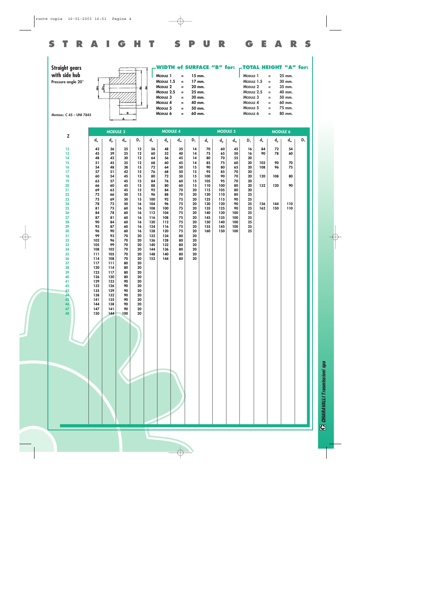| r           |
|-------------|
|             |
| ī           |
|             |
| i           |
| ٠           |
|             |
|             |
|             |
|             |
|             |
| r<br>u<br>Ė |
| ŕ           |
| г           |
|             |
| I           |
|             |
| Г           |
|             |
|             |
| r<br>ı      |
| ı           |
|             |
|             |

| <b>Straight gears</b><br>with side hub<br>Pressure angle 20°<br><b>MATERIAL: C 45 - UNI 7845</b> | 岛                                                                     | 눽                                           | в                                      |                                        | 음                                                                     | MODULE 1<br>MODULE 1.5<br>MODULE <sub>2</sub><br>MODULE 2.5<br>MODULE 3<br>MODULE 4<br>MODULE 5<br>MODULE 6 | $\equiv$<br>$\equiv$<br>$=$<br>$\equiv$<br>$\equiv$<br>Ξ<br>$\equiv$<br>$\equiv$ | 15 mm.<br>17 mm.<br>20 mm.<br>25 mm.<br>30 mm.<br>40 mm.<br>50 mm.<br>60 mm. |                                                                       |                                 |                                 | MODULE 1<br>MODULE 1.5<br>MODULE <sub>2</sub><br>MODULE 2.5<br>MODULE 3<br>MODULE 4<br>MODULE 5<br>MODULE 6 |                                              | $\equiv$<br>$\equiv$<br>$\equiv$<br>$\equiv$<br>$\equiv$<br>$\equiv$<br>$\equiv$<br>$=$ | WIDTH of SURFACE "B" for: -TOTAL HEIGHT "A" for:<br>25 mm.<br>30 mm.<br>35 mm.<br>40 mm.<br>50 mm.<br>60 mm.<br>75 mm.<br>80 mm. |       |
|--------------------------------------------------------------------------------------------------|-----------------------------------------------------------------------|---------------------------------------------|----------------------------------------|----------------------------------------|-----------------------------------------------------------------------|-------------------------------------------------------------------------------------------------------------|----------------------------------------------------------------------------------|------------------------------------------------------------------------------|-----------------------------------------------------------------------|---------------------------------|---------------------------------|-------------------------------------------------------------------------------------------------------------|----------------------------------------------|-----------------------------------------------------------------------------------------|----------------------------------------------------------------------------------------------------------------------------------|-------|
| Z                                                                                                |                                                                       | <b>MODULE 3</b>                             |                                        |                                        |                                                                       | <b>MODULE 4</b>                                                                                             |                                                                                  |                                                                              |                                                                       | <b>MODULE 5</b>                 |                                 |                                                                                                             |                                              | <b>MODULE 6</b>                                                                         |                                                                                                                                  |       |
| 12<br>13<br>14<br>15                                                                             | $\mathsf{d}_{\scriptscriptstyle{\mathsf{e}}}$<br>42<br>45<br>48<br>51 | $d_{p}$<br>36<br>39<br>42<br>45             | $d_m$<br>25<br>25<br>30<br>35          | $D_1$<br>12<br>12<br>12<br>12          | $\mathsf{d}_{\scriptscriptstyle{\mathrm{e}}}$<br>56<br>60<br>64<br>68 | $\mathsf{d}_{\mathsf{p}}$<br>48<br>52<br>56<br>60                                                           | $d_m$<br>35<br>40<br>45<br>45                                                    | $D_1$<br>14<br>14<br>14<br>14                                                | $\mathsf{d}_{\scriptscriptstyle{\mathsf{e}}}$<br>70<br>75<br>80<br>85 | $d_{p}$<br>60<br>65<br>70<br>75 | $d_m$<br>45<br>50<br>55<br>60   | $D_1$<br>16<br>16<br>20<br>20                                                                               | $\mathsf{d}_{\mathsf{e}}$<br>84<br>90<br>102 | $\mathsf{d}_{\mathsf{p}}$<br>72<br>78<br>90                                             | $d_m$<br>54<br>60<br>70                                                                                                          | $D_1$ |
| 16<br>17<br>18<br>19<br>20                                                                       | 54<br>57<br>60<br>63<br>66                                            | 48<br>51<br>54<br>57<br>60                  | 38<br>42<br>45<br>45<br>45             | 15<br>15<br>15<br>15<br>15             | 72<br>76<br>80<br>84<br>88                                            | 64<br>68<br>72<br>76<br>80                                                                                  | 50<br>50<br>50<br>60<br>60                                                       | 15<br>15<br>15<br>15<br>15                                                   | 90<br>95<br>100<br>105<br>110                                         | 80<br>85<br>90<br>95<br>100     | 65<br>70<br>70<br>70<br>80      | 20<br>20<br>20<br>20<br>20                                                                                  | 108<br>120<br>132                            | 96<br>108<br>120                                                                        | 75<br>80<br>90                                                                                                                   |       |
| 21<br>22<br>23<br>24<br>25                                                                       | 69<br>72<br>75<br>78<br>81                                            | 63<br>66<br>69<br>72<br>75                  | 45<br>50<br>50<br>50<br>60             | 15<br>15<br>15<br>16<br>16             | 92<br>96<br>100<br>104<br>108                                         | 84<br>88<br>92<br>96<br>100                                                                                 | 70<br>70<br>75<br>75<br>75                                                       | 20<br>20<br>20<br>20<br>20                                                   | 115<br>120<br>125<br>130<br>135                                       | 105<br>110<br>115<br>120<br>125 | 80<br>80<br>90<br>90<br>90      | 20<br>25<br>25<br>25<br>25                                                                                  | 156<br>162                                   | 144<br>150                                                                              | 110<br>110                                                                                                                       |       |
| 26<br>27<br>28<br>29<br>30<br>31                                                                 | 84<br>87<br>90<br>93<br>96<br>99                                      | 78<br>81<br>84<br>87<br>90<br>93            | 60<br>60<br>60<br>60<br>60<br>70       | 16<br>16<br>16<br>16<br>16<br>20       | 112<br>116<br>120<br>124<br>128<br>132                                | 104<br>108<br>112<br>116<br>120<br>124                                                                      | 75<br>75<br>75<br>75<br>75<br>80                                                 | 20<br>20<br>20<br>${\bf 20}$<br>20<br>20                                     | 140<br>145<br>150<br>155<br>160                                       | 130<br>135<br>140<br>145<br>150 | 100<br>100<br>100<br>100<br>100 | 25<br>25<br>25<br>25<br>25                                                                                  |                                              |                                                                                         |                                                                                                                                  |       |
| 32<br>33<br>34<br>35<br>36<br>37<br>38                                                           | 102<br>105<br>108<br>111<br>114<br>117<br>120                         | 96<br>99<br>102<br>105<br>108<br>111<br>114 | 70<br>70<br>70<br>70<br>70<br>80<br>80 | 20<br>20<br>20<br>20<br>20<br>20<br>20 | 136<br>140<br>144<br>148<br>152                                       | 128<br>132<br>136<br>140<br>144                                                                             | 80<br>80<br>80<br>80<br>80                                                       | 20<br>20<br>20<br>${\bf 20}$<br>20                                           |                                                                       |                                 |                                 |                                                                                                             |                                              |                                                                                         |                                                                                                                                  |       |
| 39<br>40<br>41<br>42<br>43                                                                       | 123<br>126<br>129<br>132<br>135                                       | 117<br>120<br>123<br>126<br>129             | 80<br>80<br>90<br>90<br>90             | 20<br>20<br>20<br>20<br>20             |                                                                       |                                                                                                             |                                                                                  |                                                                              |                                                                       |                                 |                                 |                                                                                                             |                                              |                                                                                         |                                                                                                                                  |       |
| 44<br>45<br>46<br>47<br>48                                                                       | 138<br>141<br>144<br>147<br>150                                       | 132<br>135<br>138<br>141<br>144             | 90<br>90<br>90<br>90<br>100            | 20<br>20<br>20<br>20<br>20             |                                                                       |                                                                                                             |                                                                                  |                                                                              |                                                                       |                                 |                                 |                                                                                                             |                                              |                                                                                         |                                                                                                                                  |       |
|                                                                                                  |                                                                       |                                             |                                        |                                        |                                                                       |                                                                                                             |                                                                                  |                                                                              |                                                                       |                                 |                                 |                                                                                                             |                                              |                                                                                         |                                                                                                                                  |       |
|                                                                                                  |                                                                       |                                             |                                        |                                        |                                                                       |                                                                                                             |                                                                                  |                                                                              |                                                                       |                                 |                                 |                                                                                                             |                                              |                                                                                         |                                                                                                                                  |       |
|                                                                                                  |                                                                       |                                             |                                        |                                        |                                                                       |                                                                                                             |                                                                                  |                                                                              |                                                                       |                                 |                                 |                                                                                                             |                                              |                                                                                         |                                                                                                                                  |       |

**STRAIGHT SPUR GEARS**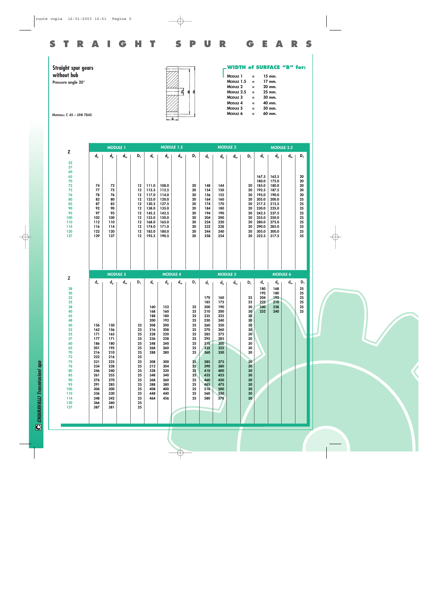

**Straight spur gears without hub**

**Pressure angle 20°**

![](_page_4_Figure_7.jpeg)

**WIDTH of SURFACE "B" for:**

| <b>MODULE 1</b>     | = | 15 mm.   |
|---------------------|---|----------|
| MODULE 1.5          | Ξ | $17$ mm. |
| MODULE <sub>2</sub> | Ξ | 20 mm.   |
| MODULE 2.5          | = | 25 mm.   |
| MODULE <sub>3</sub> | = | 30 mm.   |
| MODULE 4            | = | 40 mm.   |
| MODULE <sub>5</sub> | = | 50 mm.   |
| MODULE 6            | = | 60 mm.   |
|                     |   |          |

**MATERIAL: C 45 – UNI 7845**

|                                                                                                                                                                     |                                                                                                                                   | <b>MODULE 1</b>                                                                                                                   |       |                                                                                                                |                                                                                                                                          | MODULE 1.5                                                                                                                               |                           |                                                                                                                                   |                                                                                                                                                        |                                                                                                                                                        | <b>MODULE 2</b> |                                                                                                                                  |                                                                                                                            | <b>MODULE 2.5</b>                                                                                                          |                           |                                                                                  |
|---------------------------------------------------------------------------------------------------------------------------------------------------------------------|-----------------------------------------------------------------------------------------------------------------------------------|-----------------------------------------------------------------------------------------------------------------------------------|-------|----------------------------------------------------------------------------------------------------------------|------------------------------------------------------------------------------------------------------------------------------------------|------------------------------------------------------------------------------------------------------------------------------------------|---------------------------|-----------------------------------------------------------------------------------------------------------------------------------|--------------------------------------------------------------------------------------------------------------------------------------------------------|--------------------------------------------------------------------------------------------------------------------------------------------------------|-----------------|----------------------------------------------------------------------------------------------------------------------------------|----------------------------------------------------------------------------------------------------------------------------|----------------------------------------------------------------------------------------------------------------------------|---------------------------|----------------------------------------------------------------------------------|
| z<br>55                                                                                                                                                             | $d_e$                                                                                                                             | $d_{p}$                                                                                                                           | $d_m$ | $D_1$                                                                                                          | $d_e$                                                                                                                                    | $d_{p}$                                                                                                                                  | $\mathbf{d}_{\mathsf{m}}$ | $D_1$                                                                                                                             | $\mathsf{d}_{\scriptscriptstyle{\mathsf{e}}}$                                                                                                          | $d_{p}$                                                                                                                                                | $d_m$           | $D_1$                                                                                                                            | $\mathsf{d}_{\scriptscriptstyle{\mathsf{e}}}$                                                                              | $d_{p}$                                                                                                                    | $\mathbf{d}_{\mathsf{m}}$ | $\mathsf{D}_1$                                                                   |
| 57<br>60<br>65<br>70<br>72<br>75<br>76<br>80<br>85<br>90<br>95<br>100<br>110<br>114<br>120<br>127                                                                   | 74<br>77<br>78<br>82<br>87<br>92<br>97<br>102<br>112<br>116<br>122<br>129                                                         | 72<br>75<br>76<br>80<br>85<br>90<br>95<br>100<br>110<br>114<br>120<br>127                                                         |       | 12<br>12<br>12<br>12<br>12<br>12<br>12<br>12<br>12<br>12<br>12<br>12                                           | 111.0<br>115.5<br>117.0<br>123.0<br>130.5<br>138.0<br>145.5<br>153.0<br>168.0<br>174.0<br>183.0<br>193.5                                 | 108.0<br>112.5<br>114.0<br>120.0<br>127.5<br>135.0<br>142.5<br>150.0<br>165.0<br>171.0<br>180.0<br>190.5                                 |                           | 20<br>20<br>20<br>20<br>20<br>20<br>20<br>20<br>20<br>20<br>20<br>20                                                              | 148<br>154<br>156<br>164<br>174<br>184<br>194<br>204<br>224<br>232<br>244<br>258                                                                       | 144<br>150<br>152<br>160<br>170<br>180<br>190<br>200<br>220<br>228<br>240<br>254                                                                       |                 | 20<br>20<br>20<br>20<br>20<br>20<br>20<br>20<br>20<br>20<br>20<br>20                                                             | 167.5<br>180.0<br>185.0<br>192.5<br>195.0<br>205.0<br>217.5<br>230.0<br>242.5<br>255.0<br>280.0<br>290.0<br>305.0<br>322.5 | 162.5<br>175.0<br>180.0<br>187.5<br>190.0<br>200.0<br>212.5<br>225.0<br>237.5<br>250.0<br>275.0<br>285.0<br>300.0<br>317.5 |                           | 20<br>20<br>20<br>20<br>20<br>25<br>25<br>25<br>25<br>25<br>25<br>25<br>25<br>25 |
|                                                                                                                                                                     |                                                                                                                                   | <b>MODULE 3</b>                                                                                                                   |       |                                                                                                                |                                                                                                                                          |                                                                                                                                          | <b>MODULE 4</b>           |                                                                                                                                   |                                                                                                                                                        |                                                                                                                                                        | <b>MODULE 5</b> |                                                                                                                                  |                                                                                                                            | <b>MODULE 6</b>                                                                                                            |                           |                                                                                  |
| Z                                                                                                                                                                   | $d_e$                                                                                                                             | $d_{p}$                                                                                                                           | $d_m$ | $D_1$                                                                                                          | $\mathsf{d}_{\scriptscriptstyle{\mathsf{e}}}$                                                                                            | $d_{p}$                                                                                                                                  | $d_m$                     | $D_1$                                                                                                                             | $\mathsf{d}_{\scriptscriptstyle{\mathsf{e}}}$                                                                                                          | $d_{p}$                                                                                                                                                | $d_m$           | $D_1$                                                                                                                            | $d_e$                                                                                                                      | $d_{p}$                                                                                                                    | $d_m$                     | $\mathsf{D}_1$                                                                   |
| 28<br>30<br>32<br>35<br>38<br>40<br>45<br>48<br>50<br>52<br>55<br>57<br>60<br>65<br>70<br>72<br>75<br>76<br>80<br>85<br>90<br>95<br>100<br>110<br>114<br>120<br>127 | 156<br>162<br>171<br>177<br>186<br>201<br>216<br>222<br>231<br>234<br>246<br>261<br>276<br>291<br>306<br>336<br>348<br>366<br>387 | 150<br>156<br>165<br>171<br>180<br>195<br>210<br>216<br>225<br>228<br>240<br>255<br>270<br>285<br>300<br>330<br>342<br>360<br>381 |       | 25<br>25<br>25<br>25<br>25<br>25<br>25<br>25<br>25<br>25<br>25<br>25<br>25<br>25<br>25<br>25<br>25<br>25<br>25 | 160<br>168<br>188<br>200<br>208<br>216<br>228<br>236<br>248<br>268<br>288<br>308<br>312<br>328<br>348<br>368<br>388<br>408<br>448<br>464 | 152<br>160<br>180<br>192<br>200<br>208<br>220<br>228<br>240<br>260<br>280<br>300<br>304<br>320<br>340<br>360<br>380<br>400<br>440<br>456 |                           | 25<br>25<br>25<br>25<br>25<br>25<br>25<br>25<br>25<br>25<br>25<br>25<br>25<br>25<br>25 <sub>1</sub><br>25<br>25<br>25<br>25<br>25 | 170<br>185<br>200<br>210<br>235<br>250<br>260<br>270<br>285<br>295<br>310<br>335<br>360<br>385<br>390<br>410<br>435<br>460<br>485<br>510<br>560<br>580 | 160<br>175<br>190<br>200<br>225<br>240<br>250<br>260<br>275<br>285<br>300<br>325<br>350<br>375<br>380<br>400<br>425<br>450<br>475<br>500<br>550<br>570 |                 | 25<br>25<br>30<br>30<br>30<br>30<br>30<br>30<br>30<br>30<br>30<br>30<br>30<br>30<br>30<br>30<br>30<br>30<br>30<br>30<br>30<br>30 | 180<br>192<br>204<br>222<br>240<br>252                                                                                     | 168<br>180<br>192<br>210<br>228<br>240                                                                                     |                           | 25<br>25<br>25<br>25<br>25<br>25                                                 |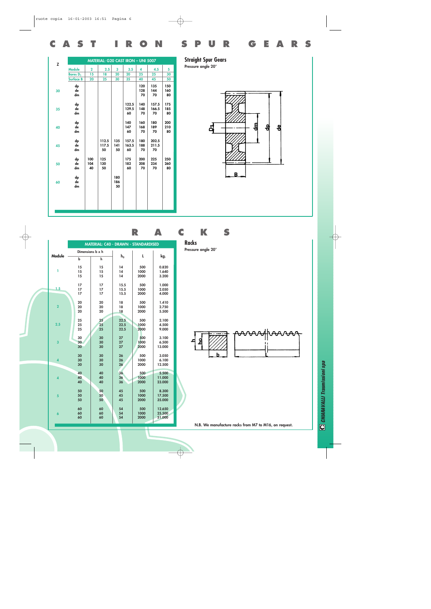| Z  |                     |                  | MATERIAL: G20 CAST IRON - UNI 5007 |                  |                      |                  |                      |                  |
|----|---------------------|------------------|------------------------------------|------------------|----------------------|------------------|----------------------|------------------|
|    | <b>Module</b>       | $\overline{2}$   | 2.5                                | 3                | 3.5                  | 4                | 4.5                  | 5                |
|    | Bores <sub>D1</sub> | 15               | 18                                 | 20               | 20                   | 25               | 25                   | 30               |
|    | <b>Surface B</b>    | 20               | 25                                 | 30               | 35                   | 40               | 45                   | 50               |
| 30 | dp<br>de<br>dm      |                  |                                    |                  |                      | 120<br>128<br>70 | 135<br>144<br>70     | 150<br>160<br>80 |
| 35 | dp<br>de<br>dm      |                  |                                    |                  | 122.5<br>129.5<br>60 | 140<br>148<br>70 | 157.5<br>166.5<br>70 | 175<br>185<br>80 |
| 40 | dp<br>de<br>dm      |                  |                                    |                  | 140<br>147<br>60     | 160<br>168<br>70 | 180<br>189<br>70     | 200<br>210<br>80 |
| 45 | dp<br>de<br>dm      |                  | 112.5<br>117.5<br>50               | 135<br>141<br>50 | 157.5<br>163.5<br>60 | 180<br>188<br>70 | 202.5<br>211.5<br>70 |                  |
| 50 | dp<br>de<br>dm      | 100<br>104<br>40 | 125<br>130<br>50                   |                  | 175<br>182<br>60     | 200<br>208<br>70 | 225<br>234<br>70     | 250<br>260<br>80 |
| 60 | dp<br>de<br>dm      |                  |                                    | 180<br>186<br>50 |                      |                  |                      |                  |
|    |                     |                  |                                    |                  |                      |                  |                      |                  |

**Straight Spur Gears Pressure angle 20°**

**CAST IRON SPUR GEARS**

![](_page_5_Figure_2.jpeg)

|                         |                  | <b>MATERIAL: C40 - DRAWN - STANDARDISED</b> |          |              |                |
|-------------------------|------------------|---------------------------------------------|----------|--------------|----------------|
|                         | Dimensions b x h |                                             |          |              |                |
| Module                  | $\mathbf b$      | h                                           | $h_0$    | L            | kg.            |
| ī                       | 15               | 15                                          | 14       | 500          | 0.820          |
|                         | 15<br>15         | 15<br>15                                    | 14<br>14 | 1000<br>2000 | 1.640<br>3.200 |
|                         | 17               | 17                                          | 15.5     | 500          | 1.000          |
| 1.5                     | 17               | 17                                          | 15.5     | 1000         | 2.050          |
|                         | 17               | 17                                          | 15.5     | 2000         | 4.000          |
|                         | 20               | 20                                          | 18       | 500          | 1.410          |
| $\overline{2}$          | 20               | 20                                          | 18       | 1000         | 2.750          |
|                         | 20               | 20                                          | 18       | 2000         | 5.500          |
|                         | 25               | 25                                          | 22.5     | 500          | 2.100          |
| 2.5                     | 25               | 25                                          | 22.5     | 1000         | 4.500          |
|                         | 25               | 25                                          | 22.5     | 2000         | 9.000          |
|                         | 30               | 30                                          | 27       | 500          | 3.100          |
| 3                       | 30               | 30                                          | 27       | 1000         | 6.500          |
|                         | 30               | 30                                          | 27       | 2000         | 13.000         |
|                         | 30               | 30                                          | 26       | 500          | 3.050          |
| $\boldsymbol{4}$        | 30               | 30                                          | 26       | 1000         | 6.100          |
|                         | 30               | 30                                          | 26       | 2000         | 12.500         |
|                         | 40               | 40                                          | 36       | 500          | 5.500          |
| $\overline{\mathbf{A}}$ | 40               | 40                                          | 36       | 1000         | 11.000         |
|                         | 40               | 40                                          | 36       | 2000         | 23.000         |
|                         | 50               | 50                                          | 45       | 500          | 8.300          |
| 5                       | 50               | 50                                          | 45       | 1000         | 17.500         |
|                         | 50               | 50                                          | 45       | 2000         | 35.000         |
|                         | 60               | 60                                          | 54       | 500          | 12.650         |
| $\ddot{\mathbf{6}}$     | 60               | 60                                          | 54       | 1000         | 25.500         |
|                         | 60               | 60                                          | 54       | 2000         | 51.000         |
|                         |                  |                                             |          |              |                |

## **RACKS**

**Racks**

**Pressure angle 20°**

![](_page_5_Figure_7.jpeg)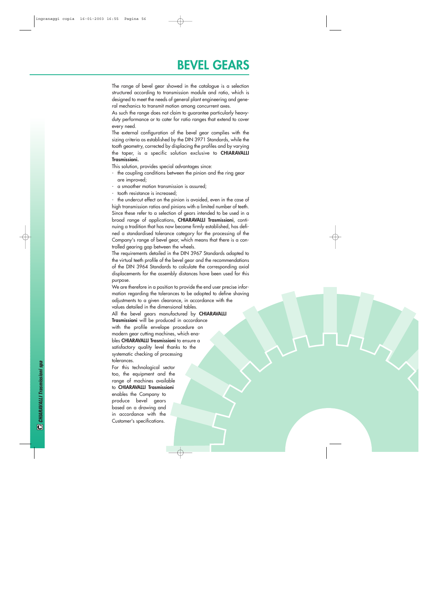## **BEVEL GEARS**

The range of bevel gear showed in the catalogue is a selection structured according to transmission module and ratio, which is designed to meet the needs of general plant engineering and general mechanics to transmit motion among concurrent axes.

As such the range does not claim to guarantee particularly heavyduty performance or to cater for ratio ranges that extend to cover every need.

The external configuration of the bevel gear complies with the sizing criteria as established by the DIN 3971 Standards, while the tooth geometry, corrected by displacing the profiles and by varying the taper, is a specific solution exclusive to **CHIARAVALLI Trasmissioni.**

This solution, provides special advantages since:

- the coupling conditions between the pinion and the ring gear are improved;
- a smoother motion transmission is assured;
- tooth resistance is increased;

the undercut effect on the pinion is avoided, even in the case of high transmission ratios and pinions with a limited number of teeth. Since these refer to a selection of gears intended to be used in a broad range of applications, **CHIARAVALLI Trasmissioni**, continuing a tradition that has now become firmly established, has defined a standardised tolerance category for the processing of the Company's range of bevel gear, which means that there is a controlled gearing gap between the wheels.

The requirements detailed in the DIN 3967 Standards adapted to the virtual teeth profile of the bevel gear and the recommendations of the DIN 3964 Standards to calculate the corresponding axial displacements for the assembly distances have been used for this purpose.

We are therefore in a position to provide the end user precise information regarding the tolerances to be adopted to define shaving adjustments to a given clearance, in accordance with the values detailed in the dimensional tables.

All the bevel gears manufactured by **CHIARAVALLI Trasmissioni** will be produced in accordance with the profile envelope procedure on modern gear cutting machines, which enables **CHIARAVALLI Trasmissioni** to ensure a satisfactory quality level thanks to the systematic checking of processing tolerances.

For this technological sector too, the equipment and the range of machines available to **CHIARAVALLI Trasmissioni**

enables the Company to produce bevel gears based on a drawing and in accordance with the Customer's specifications.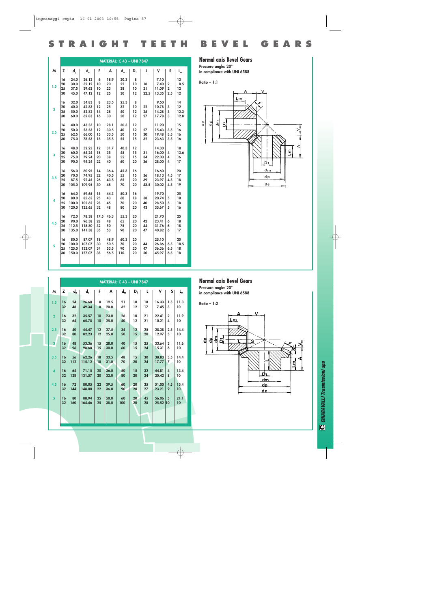|                         |    |         |        |      |      | <b>MATERIAL: C 43 - UNI 7847</b> |       |      |       |                |                           |
|-------------------------|----|---------|--------|------|------|----------------------------------|-------|------|-------|----------------|---------------------------|
| M                       | z  | $d_{p}$ | $d_e$  | F    | A    | $d_m$                            | $D_1$ | L    | v     | S              | $\mathsf{L}_{\mathsf{m}}$ |
|                         | 16 | 24.0    | 26.12  | 6    | 18.9 | 20.3                             | 8     |      | 7.10  |                | 12                        |
| 1.5                     | 20 | 30.0    | 32.12  | 10   | 20   | 22                               | 10    | 18   | 7.40  | $\mathbf 2$    | 8.5                       |
|                         | 25 | 37.5    | 39.62  | 10   | 23   | 28                               | 10    | 21   | 11.09 | $\overline{2}$ | 12                        |
|                         | 30 | 45.0    | 47.12  | 12   | 25   | 30                               | 12    | 22.5 | 13.35 | 2.5            | 12                        |
|                         | 16 | 32.0    | 34.83  | 8    | 23.5 | 25.3                             | 8     |      | 9.50  |                | 14                        |
|                         | 20 | 40.0    | 42.83  | 12   | 25   | 32                               | 10    | 22   | 10.78 | 3              | 12                        |
| $\overline{\mathbf{2}}$ | 25 | 50.0    | 52.82  | 14   | 28   | 40                               | 12    | 25   | 14.28 | 3              | 12.3                      |
|                         | 30 | 60.0    | 62.83  | 16   | 30   | 50                               | 12    | 27   | 17.78 | 3              | 12.8                      |
|                         | 16 | 40.0    | 43.53  | 10   | 28.1 | 30.3                             | 12    |      | 11.90 |                | 15                        |
| 2.5                     | 20 | 50.0    | 53.53  | 12   | 30.5 | 40                               | 12    | 27   | 15.43 | 3.5            | 16                        |
|                         | 25 | 62.5    | 66.00  | 15   | 33.5 | 50                               | 15    | 30   | 19.48 | 3.5            | 16                        |
|                         | 30 | 75.0    | 78.53  | 18   | 35.5 | 55                               | 15    | 32   | 23.63 | 3.5            | 16                        |
|                         | 16 | 48.0    | 52.25  | 12   | 31.7 | 40.3                             | 12    |      | 14.30 |                | 18                        |
| $\overline{\mathbf{3}}$ | 20 | 60.0    | 64.24  | 18   | 35   | 45                               | 15    | 31   | 16.00 | 4              | 13.6                      |
|                         | 25 | 75.0    | 79.24  | 20   | 38   | 55                               | 15    | 34   | 22.00 | 4              | 16                        |
|                         | 30 | 90.0    | 94.24  | 22   | 40   | 60                               | 20    | 36   | 28.00 | 4              | 17                        |
|                         | 16 | 56.0    | 60.95  | 14   | 36.4 | 45.3                             | 16    |      | 16.60 |                | 20                        |
|                         | 20 | 70.0    | 74.95  | 22   | 40.5 | 55                               | 15    | 36   | 18.13 | 4.5            | 17                        |
| 3.5                     | 25 | 87.5    | 92.45  | 26   | 43.5 | 65                               | 20    | 39   | 23.97 | 4.5            | 18                        |
|                         | 30 | 105.0   | 109.95 | 30   | 48   | 70                               | 20    | 43.5 | 30.02 | 4.5            | 19                        |
|                         | 16 | 64.0    | 69.65  | 15   | 44.3 | 50.3                             | 16    |      | 19.70 |                | 25                        |
| 4                       | 20 | 80.0    | 85.65  | 25   | 43   | 60                               | 18    | 38   | 20.74 | 5              | 18                        |
|                         | 25 | 100.0   | 105.65 | 28   | 45   | 70                               | 20    | 40   | 28.50 | 5              | 18                        |
|                         | 30 | 120.0   | 125.65 | 32   | 48   | 80                               | 20    | 43   | 35.67 | 5              | 16                        |
|                         | 16 | 72.0    | 78.38  | 17.5 | 46.3 | 55.3                             | 20    |      | 21.70 |                | 25                        |
| 4.5                     | 20 | 90.0    | 96.38  | 28   | 48   | 65                               | 20    | 42   | 23.41 | 6              | 18                        |
|                         | 25 | 112.5   | 118.80 | 32   | 50   | 75                               | 20    | 44   | 31.76 | 6              | 18                        |
|                         | 30 | 135.0   | 141.38 | 35   | 53   | 90                               | 20    | 47   | 40.82 | 6              | 17                        |
|                         | 16 | 80.0    | 87.07  | 18   | 48.9 | 60.3                             | 20    |      | 25.10 |                | 25                        |
| 5                       | 20 | 100.0   | 107.07 | 30   | 50.5 | 70                               | 20    | 44   | 26.86 | 6.5            | 18.5                      |
|                         | 25 | 125.0   | 132.07 | 34   | 53.5 | 90                               | 20    | 47   | 36.36 | 6.5            | 18                        |
|                         | 30 | 150.0   | 157.07 | 38   | 56.5 | 110                              | 20    | 50   | 45.97 | 6.5            | 18                        |
|                         |    |         |        |      |      |                                  |       |      |       |                |                           |

**Normal axis Bevel Gears**

**Pressure angle: 20°**

**in compliance with UNI 6588**

**Ratio – 1:1**

**STRAIGHT TEETH BEVEL GEARS**

![](_page_7_Figure_5.jpeg)

|                         |          |           |                                               |          |              | <b>MATERIAL: C 43 - UNI 7847</b> |                   |          |                   |                         |                 |
|-------------------------|----------|-----------|-----------------------------------------------|----------|--------------|----------------------------------|-------------------|----------|-------------------|-------------------------|-----------------|
| M                       | Z.       | $d_{p}$   | $\mathsf{d}_{\scriptscriptstyle{\mathsf{e}}}$ | F.       | A            | $d_m$                            | $D_1$             | L        | v                 | S                       | $L_m$           |
| 1.5                     | 16       | 24        | 26.68                                         | 8        | 19.5         | 21                               | 10                | 18       | 16.33             | 1.5                     | 11.3            |
|                         | 32       | 48        | 49.34                                         | 8        | 20.0         | 32                               | 12                | 17       | 7.45              | 3                       | 10              |
| $\overline{2}$          | 16       | 32        | 35.57                                         | 10       | 23.0         | 26                               | 10                | 21       | 22.41             | $\mathbf{2}$            | 11.9            |
|                         | 32       | 64        | 65.78                                         | 10       | 25.0         | 40                               | 12                | 21       | 10.21             | $\overline{\mathbf{A}}$ | 10              |
| 2.5                     | 16       | 40        | 44.47                                         | 12       | 27.5         | 34                               | $12 \overline{ }$ | 25       | 28.38             | 2.5                     | 14.4            |
|                         | 32       | 80        | 82.23                                         | 12       | 25.0         | 50                               | 15                | 20       | 12.97             | 5                       | 10              |
| $\overline{\mathbf{3}}$ | 16       | 48        | 53.36                                         | 15       | 28.0         | 40                               | 15                | 25       | 33.64             | 3                       | 11.6            |
|                         | 32       | 96        | 98.68                                         | 15       | 30.0         | 60                               | 15                | 24       | 15.31             | 6                       | 10              |
| 3.5                     | 16       | 56        | 62.26                                         | 18       | 33.5         | 48                               | 15                | 30       | 38.83             | 3.5                     | 14.4            |
|                         | 32       | 112       | 115.12                                        | 18       | 31.0         | 70                               | 20                | 24       | 17.77             | $\overline{7}$          | 10              |
| $\overline{4}$          | 16       | 64        | 71.15                                         | 20       | 36.0         | 50                               | 15                | 32       | 44.81             | $\overline{\mathbf{4}}$ | 13.4            |
|                         | 32       | 128       | 131.57                                        | 20       | 32.0         | 80                               | 20                | 24       | 20.42             | 8                       | 10              |
| 4.5                     | 16       | 72        | 80.05                                         | 22       | 39.5         | 60                               | 20                | 35       | 51.00             | 4.5                     | 15.4            |
|                         | 32       | 144       | 148.00                                        | 22       | 36.0         | 90                               | 20                | 27       | 23.21             | 9                       | 10 <sup>°</sup> |
| 5                       | 16<br>32 | 80<br>160 | 88.94<br>164.46                               | 25<br>25 | 50.0<br>38.0 | 60<br>100                        | 20<br>20          | 45<br>28 | 56.06<br>25.52 10 | $5\phantom{.0}$         | 21.1<br>10      |
|                         |          |           |                                               |          |              |                                  |                   |          |                   |                         |                 |
|                         |          |           |                                               |          |              |                                  |                   |          |                   |                         |                 |

#### **Normal axis Bevel Gears**

**Pressure angle: 20° in compliance with UNI 6588**

**Ratio – 1:2**

![](_page_7_Figure_10.jpeg)

**C** CHIARAVALLI Trasmissioni spa *CHIARAVALLI Trasmissioni spa*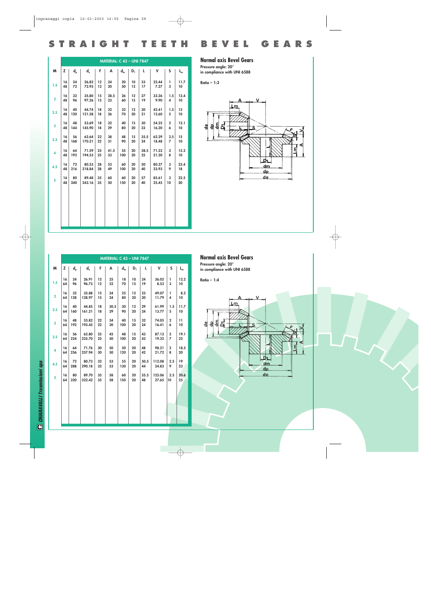|              |          |           |                 |          | <b>MATERIAL: C 43 - UNI 7847</b> |           |          |            |                |                       |            |  |
|--------------|----------|-----------|-----------------|----------|----------------------------------|-----------|----------|------------|----------------|-----------------------|------------|--|
| M            | Z        | $d_{p}$   | $d_e$           | F.       | A                                | $d_m$     | $D_1$    | L          | v              | S                     | $L_{m}$    |  |
| 1.5          | 16<br>48 | 24<br>72  | 26.82<br>72.95  | 12<br>12 | 24<br>20                         | 20<br>50  | 10<br>12 | 23<br>17   | 22.44<br>7.27  | ı<br>3                | 11.7<br>10 |  |
| $\mathbf{2}$ | 16<br>48 | 32<br>96  | 35.80<br>97.26  | 15<br>15 | 28.5<br>23                       | 26<br>60  | 12<br>15 | 27<br>19   | 33.26<br>9.90  | 1.5<br>4              | 12.4<br>10 |  |
| 2.5          | 16<br>48 | 40<br>120 | 44.74<br>121.58 | 18<br>18 | 32<br>26                         | 32<br>70  | 12<br>20 | 30<br>21   | 42.41<br>12.60 | 1.5<br>5              | 13<br>10   |  |
| $\mathbf{3}$ | 16<br>48 | 48<br>144 | 53.69<br>145.90 | 18<br>18 | 32<br>29                         | 40<br>80  | 15<br>20 | 30<br>23   | 54.25<br>16.20 | $\overline{2}$<br>6   | 12.1<br>10 |  |
| 3.5          | 16<br>48 | 56<br>168 | 62.64<br>170.21 | 22<br>22 | 38<br>31                         | 48<br>90  | 15<br>20 | 35.5<br>24 | 62.29<br>18.48 | 2.5<br>$\overline{7}$ | 15<br>10   |  |
| 4            | 16<br>48 | 64<br>192 | 71.59<br>194.53 | 25<br>25 | 41.5<br>33                       | 55<br>100 | 20<br>20 | 38.5<br>25 | 71.23<br>21.20 | 3<br>8                | 15.2<br>10 |  |
| 4.5          | 16<br>48 | 72<br>216 | 80.53<br>218.84 | 28<br>28 | 53<br>49                         | 60<br>100 | 20<br>20 | 50<br>40   | 80.27<br>23.93 | 3<br>9                | 23.4<br>18 |  |
| 5            | 16<br>48 | 80<br>240 | 89.48<br>243.16 | 35<br>35 | 60<br>50                         | 60<br>150 | 20<br>20 | 57<br>40   | 85.61<br>25.45 | 3<br>10               | 22.5<br>20 |  |
|              |          |           |                 |          |                                  |           |          |            |                |                       |            |  |
|              |          |           |                 |          |                                  |           |          |            |                |                       |            |  |
|              |          |           |                 |          |                                  |           |          |            |                |                       |            |  |

#### **Normal axis Bevel Gears**

**Pressure angle: 20° in compliance with UNI 6588**

**Ratio – 1:3**

**STRAIGHT TEETH BEVEL GEARS**

![](_page_8_Figure_5.jpeg)

|                         | <b>MATERIAL: C 43 - UNI 7847</b> |         |        |    |      |       |       |      |        |                         |         |  |  |
|-------------------------|----------------------------------|---------|--------|----|------|-------|-------|------|--------|-------------------------|---------|--|--|
| M                       | z                                | $d_{p}$ | $d_e$  | F  | A    | $d_m$ | $D_1$ | L.   | v      | S                       | $L_{m}$ |  |  |
| 1.5                     | 16                               | 24      | 26.91  | 12 | 25   | 18    | 10    | 24   | 36.02  | I.                      | 12.2    |  |  |
|                         | 64                               | 96      | 96.73  | 12 | 22   | 70    | 15    | 19   | 8.53   | 3                       | 10      |  |  |
| $\overline{2}$          | 16                               | 32      | 35.88  | 15 | 24   | 25    | 12    | 23   | 49.07  | I.                      | 8.2     |  |  |
|                         | 64                               | 128     | 128.97 | 15 | 24   | 80    | 20    | 20   | 11.79  | 4                       | 10      |  |  |
| 2.5                     | 16                               | 40      | 44.85  | 18 | 30.5 | 30    | 12    | 29   | 61.99  | 1.5                     | 11.7    |  |  |
|                         | 64                               | 160     | 161.21 | 18 | 29   | 90    | 20    | 24   | 13.77  | 5                       | 10      |  |  |
| $\overline{\mathbf{3}}$ | 16                               | 48      | 53.82  | 22 | 34   | 40    | 15    | 32   | 74.05  | $\overline{2}$          | 11      |  |  |
|                         | 64                               | 192     | 193.45 | 22 | 30   | 100   | 20    | 24   | 16.41  | 6                       | 10      |  |  |
| 3.5                     | 16                               | 56      | 62.80  | 25 | 45   | 48    | 15    | 43   | 87.13  | $\overline{2}$          | 19.1    |  |  |
|                         | 64                               | 224     | 225.70 | 25 | 50   | 100   | 20    | 43   | 19.32  | 7                       | 22      |  |  |
| 4                       | 16                               | 64      | 71.76  | 30 | 50   | 50    | 20    | 48   | 98.21  | $\overline{\mathbf{2}}$ | 18.5    |  |  |
|                         | 64                               | 256     | 257.94 | 30 | 50   | 120   | 20    | 42   | 21.72  | 8                       | 20      |  |  |
| 4.5                     | 16                               | 72      | 80.73  | 32 | 53   | 55    | 20    | 50.5 | 112.08 | 2.5                     | 19      |  |  |
|                         | 64                               | 288     | 290.18 | 32 | 53   | 130   | 20    | 44   | 24.83  | 9                       | 23      |  |  |
| $\overline{5}$          | 16                               | 80      | 89.70  | 35 | 58   | 60    | 20    | 55.5 | 125.06 | 2.5                     | 20.6    |  |  |
|                         | 64                               | 320     | 322.42 | 35 | 58   | 150   | 20    | 48   | 27.65  | 10                      | 25      |  |  |
|                         |                                  |         |        |    |      |       |       |      |        |                         |         |  |  |
|                         |                                  |         |        |    |      |       |       |      |        |                         |         |  |  |
|                         |                                  |         |        |    |      |       |       |      |        |                         |         |  |  |

**Normal axis Bevel Gears**

**Pressure angle: 20° in compliance with UNI 6588**

**Ratio – 1:4**

![](_page_8_Figure_10.jpeg)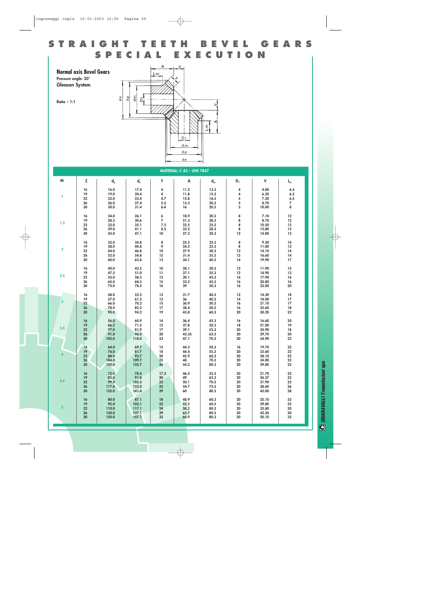### **STRAIGHT TEETH BEVEL GEARS EXECUTION**

**Normal axis Bevel Gears**

**Pressure angle: 20° Gleason System**

**Ratio – 1:1**

![](_page_9_Figure_4.jpeg)

|                         |                  |                |                |                         | <b>MATERIAL: C 43 - UNI 7847</b> |              |                |                |                           |
|-------------------------|------------------|----------------|----------------|-------------------------|----------------------------------|--------------|----------------|----------------|---------------------------|
| M                       | z                | $d_{p}$        | $d_e$          | F                       | A                                | $d_m$        | $D_1$          | V              | $\mathsf{L}_{\mathsf{m}}$ |
|                         | 16               | 16.0           | 17.4           | $\overline{\mathbf{4}}$ | 11.2                             | 13.3         | 4              | 4.80           | 6.5                       |
|                         | 19               | 19.0           | 20.4           | 4                       | 11.8                             | 15.3         | 4              | 6.20           | 6.5                       |
| T.                      | 22               | 22.0           | 23.4           | 4.7                     | 12.8                             | 16.3         | 5              | 7.20           | 6.5                       |
|                         | 26               | 26.0           | 27.4           | 5.5                     | 13.3                             | 20.3         | 5              | 8.70           | 7                         |
|                         | 30               | 30.0           | 31.4           | $6.4\,$                 | 16                               | 20.3         | $\overline{5}$ | 10.00          | 8                         |
|                         |                  |                |                |                         |                                  |              |                |                |                           |
|                         | 16               | 24.0           | 26.1           | 6                       | 18.9                             | 20.3         | 8              | 7.10           | $12$                      |
|                         | 19               | 28.5           | 30.6           | $\overline{7}$          | 21.3                             | 20.3         | 8              | 8.70           | 12                        |
| 1.5                     | 22               | 33.0           | 35.1           | 7.5                     | 22.5                             | 25.3         | 8              | 10.50          | $12$                      |
|                         | 26               | 39.0           | 41.1           | 8.5                     | 23.2                             | 28.3         | 8              | 12.80          | $12$                      |
|                         | 30               | 45.0           | 47.1           | 10                      | 27.2                             | 30.3         | 12             | 14.80          | 12                        |
|                         |                  |                |                |                         |                                  |              |                |                |                           |
|                         | 16               | 32.0           | 34.8           | 8                       | 23.5                             | 25.3         | 8              | 9.50           | $14$                      |
|                         | 19               | 38.0           | 40.8           | 9                       | 24.2                             | 25.3         | 8              | 11.80          | 12                        |
| $\overline{\mathbf{2}}$ | 22               | 44.0           | 46.8           | 10                      | 27.9                             | 30.3         | 12             | 14.10          | 14                        |
|                         | 26               | 52.0           | 54.8           | 12                      | 31.4                             | 35.3         | 12             | 16.60          | $14$                      |
|                         | 30               | 60.0           | 62.8           | 13                      | 34.1                             | 40.3         | 14             | 19.90          | $17\,$                    |
|                         |                  |                |                |                         |                                  |              |                |                |                           |
|                         | 16               | 40.0           | 43.5           | 10                      | 28.1                             | 30.3         | 12             | 11.90          | 15                        |
| 2.5                     | 19               | 47.5           | 51.0           | 11                      | 27.1                             | 35.3         | 12             | 14.90          | 13                        |
|                         | 22               | 55.0           | 58.5           | $12 \,$                 | 30.1                             | 45.3         | 16             | 17.90          | 16                        |
|                         | 26               | 65.0           | 68.5           | 15                      | 33.2                             | 45.3         | 16             | 20.80          | $16\,$                    |
|                         | 30               | 75.0           | 78.5           | 16                      | 39                               | 50.3         | 16             | 25.00          | 20                        |
|                         |                  |                |                |                         |                                  |              |                |                |                           |
|                         | 16<br>19         | 48.0<br>57.0   | 52.5<br>61.2   | $12 \,$<br>13           | 31.7<br>36                       | 40.3<br>40.3 | 12<br>14       | 14.30<br>18.00 | 18<br>17                  |
| $\overline{\mathbf{3}}$ | $22\phantom{.0}$ | 66.0           | 70.2           | 15                      | 36.9                             | 50.3         | 16             | 21.10          | 17                        |
|                         | 26               | 78.0           | 82.2           | 17                      | 38.4                             | 50.3         | 16             | 25.60          | ${\bf 18}$                |
|                         | 30               | 90.0           | 94.2           | 19                      | 43.8                             | 60.3         | 20             | 30.20          | 22                        |
|                         |                  |                |                |                         |                                  |              |                |                |                           |
|                         | 16               | 56.0           | 60.9           | 14                      | 36.4                             | 45.3         | 16             | 16.60          | 20                        |
|                         | 19               | 66.5           | 71.5           | 15                      | 37.8                             | 50.3         | 18             | 21.00          | $19$                      |
| 3.5                     | 22               | 77.0           | 81.9           | 17                      | 39.1                             | 55.3         | 20             | 24.90          | 18                        |
|                         | 26               | 91.0           | 96.0           | 20                      | 43.35                            | 62.3         | 20             | 29.70          | 20                        |
|                         | 30               | 105.0          | 110.0          | 23                      | 47.1                             | 70.3         | 20             | 34.90          | 22                        |
|                         |                  |                |                |                         |                                  |              |                |                |                           |
|                         | 16               | 64.0           | 69.7           | 15                      | 44.3                             | 50.3         | 16             | 19.70          | 25                        |
| $\overline{\mathbf{4}}$ | 19               | 76.0           | 81.7           | 18                      | 44.4                             | 55.3         | 20             | 23.60          | 22                        |
|                         | 22               | 88.0           | 93.7           | 20                      | 45.9                             | 60.3         | 20             | 28.10          | ${\bf 22}$                |
|                         | 26               | 104.0          | 109.7          | 25                      | 48                               | 70.3         | 20             | 34.00          | 22                        |
|                         | 30               | 120.0          | 125.7          | 26                      | 54.2                             | 80.3         | 20             | 39.80          | 25                        |
|                         |                  |                |                |                         |                                  |              |                |                |                           |
|                         | 16               | 72.0           | 78.4           | 17.5                    | 46.3                             | 55.3         | 20             | 21.70          | 25                        |
| 4.5                     | 19<br>22         | 85.5<br>99.0   | 91.8           | 20<br>$22\,$            | 49                               | 62.3         | 20<br>20       | 26.57          | 25<br>25                  |
|                         | 26               |                | 105.3<br>123.0 | 25                      | 50.1<br>54.7                     | 70.3         | 20             | 31.90          | ${\bf 26}$                |
|                         | 30               | 117.0<br>135.0 | 141.4          | 29                      | 60                               | 75.3<br>80.3 | 20             | 38.60<br>45.00 | 28                        |
|                         |                  |                |                |                         |                                  |              |                |                |                           |
|                         | 16               | 80.0           | 87.1           | 18                      | 48.9                             | 60.3         | 20             | 25.10          | 25                        |
|                         | 19               | 95.0           | 102.1          | 22                      | 52.2                             | 60.3         | 20             | 29.80          | 25                        |
| 5 <sup>5</sup>          | 22               | 110.0          | 117.1          | 24                      | 58.2                             | 80.3         | 20             | 35.80          | 30                        |
|                         | 26               | 130.0          | 137.1          | 29                      | 62.7                             | 80.3         | 20             | 42.30          | 30                        |
|                         | 30               | 150.0          | 157.1          | 32                      | 68.9                             | 80.3         | 20             | 50.10          | 35                        |
|                         |                  |                |                |                         |                                  |              |                |                |                           |

**C** CHIARAVALLI Trasmissioni spa *CHIARAVALLI Trasmissioni spa*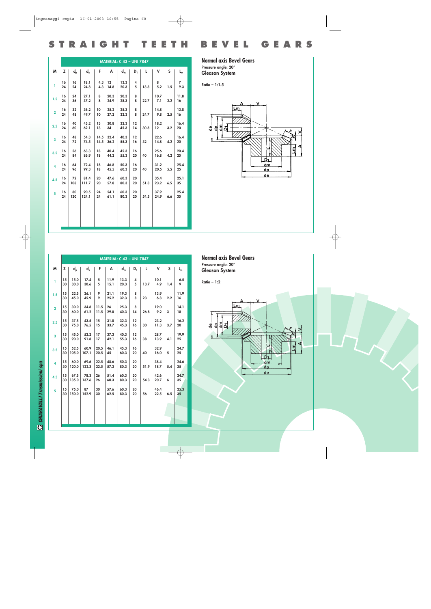|                         |          |           |               |              | <b>MATERIAL: C 43 - UNI 7847</b> |              |          |      |              |     |                       |  |
|-------------------------|----------|-----------|---------------|--------------|----------------------------------|--------------|----------|------|--------------|-----|-----------------------|--|
| M                       | z        | $d_{p}$   | $d_e$         | F.           | A                                | $d_m$        | $D_1$    | L    | v            | S   | $L_{m}$               |  |
| ı.                      | 16<br>24 | 16<br>24  | 18.1<br>24.8  | 4.3<br>4.3   | 12 <sup>2</sup><br>14.8          | 13.3<br>20.3 | 4<br>5   | 13.3 | 8<br>5.2     | 1.5 | $\overline{7}$<br>9.3 |  |
| 1.5                     | 16<br>24 | 24<br>36  | 27.1<br>37.2  | 8<br>8       | 20.3<br>24.9                     | 20.3<br>28.3 | 8<br>8   | 22.7 | 10.7<br>7.1  | 2.2 | 11.8<br>16            |  |
| $\overline{2}$          | 16<br>24 | 32<br>48  | 36.2<br>49.7  | 10<br>10     | 25.2<br>27.2                     | 25.3<br>32.3 | 8<br>8   | 24.7 | 14.8<br>9.8  | 2.5 | 13.8<br>16            |  |
| 2.5                     | 16<br>24 | 40<br>60  | 45.2<br>62.1  | 13<br>13     | 30.8<br>34                       | 32.3<br>45.3 | 12<br>14 | 30.8 | 18.2<br>12   | 3.2 | 16.4<br>20            |  |
| $\mathbf{3}$            | 16<br>24 | 48<br>72  | 54.3<br>74.5  | 14.5<br>14.5 | 32.4<br>36.2                     | 40.3<br>55.3 | 12<br>16 | 32   | 22.6<br>14.8 | 4.2 | 16.4<br>20            |  |
| 3.5                     | 16<br>24 | 56<br>84  | 63.3<br>86.9  | 18<br>18     | 40.4<br>44.2                     | 45.3<br>55.3 | 16<br>20 | 40   | 25.6<br>16.8 | 4.2 | 20.4<br>$25\,$        |  |
| $\overline{\mathbf{4}}$ | 16<br>24 | 64<br>96  | 72.4<br>99.3  | 18<br>18     | 46.8<br>45.5                     | 50.3<br>60.3 | 16<br>20 | 40   | 31.2<br>20.5 | 5.5 | 25.4<br>25            |  |
| 4.5                     | 16<br>24 | 72<br>108 | 81.4<br>111.7 | 20<br>20     | 47.6<br>57.8                     | 60.3<br>80.3 | 20<br>20 | 51.3 | 35.4<br>23.2 | 6.5 | 25.1<br>35            |  |
| 5                       | 16<br>24 | 80<br>120 | 90.5<br>124.1 | 24<br>24     | 54.1<br>61.1                     | 60.3<br>80.3 | 20<br>20 | 54.5 | 37.9<br>24.9 | 6.6 | 25.4<br>35            |  |
|                         |          |           |               |              |                                  |              |          |      |              |     |                       |  |
|                         |          |           |               |              |                                  |              |          |      |              |     |                       |  |

#### **Normal axis Bevel Gears Pressure angle: 20° Gleason System**

**Ratio – 1:1.5**

**STRAIGHT TEETH BEVEL GEARS**

![](_page_10_Figure_3.jpeg)

|                |          |               |               |              | <b>MATERIAL: C 43 - UNI 7847</b> |              |          |      |              |     |            |
|----------------|----------|---------------|---------------|--------------|----------------------------------|--------------|----------|------|--------------|-----|------------|
| M              | z        | $d_{p}$       | $d_e$         | F.           | A                                | $d_m$        | $D_1$    | L.   | v            | S   | $L_{m}$    |
| T.             | 15<br>30 | 15.0<br>30.0  | 17.4<br>30.6  | 5<br>5       | 11.9<br>15.1                     | 13.3<br>20.3 | 4<br>5   | 13.7 | 10.1<br>4.9  | 1.4 | 6.5<br>9   |
| 1.5            | 15<br>30 | 22.5<br>45.0  | 26.1<br>45.9  | 9<br>9       | 21.1<br>25.2                     | 19.3<br>32.3 | 8<br>8   | 23   | 13.9<br>6.8  | 2.2 | 11.9<br>16 |
| $\overline{2}$ | 15<br>30 | 30.0<br>60.0  | 34.8<br>61.2  | 11.5<br>11.5 | 26<br>29.8                       | 25.3<br>40.3 | 8<br>14  | 26.8 | 19.0<br>9.2  | 3   | 14.1<br>18 |
| 2.5            | 15<br>30 | 37.5<br>75.0  | 43.5<br>76.5  | 15<br>15     | 31.8<br>33.7                     | 32.3<br>45.3 | 12<br>16 | 30   | 23.2<br>11.3 | 3.7 | 16.2<br>20 |
| $\overline{3}$ | 15<br>30 | 45.0<br>90.0  | 52.2<br>91.8  | 17<br>17     | 37.3<br>42.1                     | 40.3<br>55.3 | 12<br>16 | 38   | 28.7<br>13.9 | 4.1 | 19.9<br>25 |
| 3.5            | 15<br>30 | 52.5<br>105.0 | 60.9<br>107.1 | 20.5<br>20.5 | 46.1<br>45                       | 45.3<br>60.3 | 16<br>20 | 40   | 32.9<br>16.0 | 5   | 24.7<br>25 |
| 4              | 15<br>30 | 60.0<br>120.0 | 69.6<br>122.3 | 22.5<br>22.5 | 48.6<br>57.3                     | 50.3<br>80.3 | 20<br>20 | 51.9 | 38.4<br>18.7 | 5.4 | 24.6<br>35 |
| 4.5            | 15<br>30 | 67.5<br>135.0 | 78.3<br>137.6 | 26<br>26     | 51.4<br>60.3                     | 60.3<br>80.3 | 20<br>20 | 54.3 | 42.6<br>20.7 | 6   | 24.7<br>35 |
| 5              | 15<br>30 | 75.0<br>150.0 | 87<br>152.9   | 30<br>30     | 57.6<br>62.5                     | 60.3<br>80.3 | 20<br>20 | 56   | 46.4<br>22.5 | 6.5 | 25.3<br>35 |
|                |          |               |               |              |                                  |              |          |      |              |     |            |
|                |          |               |               |              |                                  |              |          |      |              |     |            |

**Normal axis Bevel Gears Pressure angle: 20° Gleason System**

**Ratio – 1:2**

![](_page_10_Figure_7.jpeg)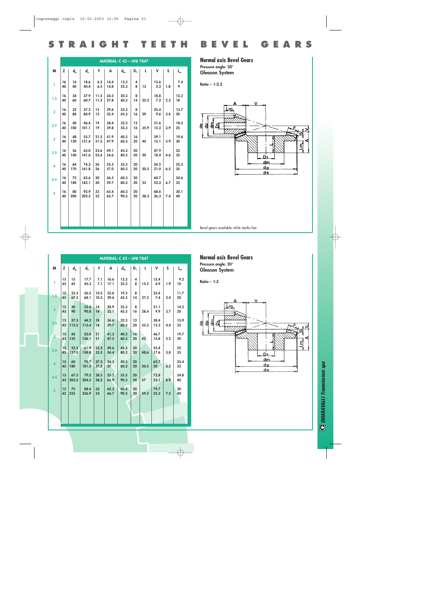|  |  |  |  |  |  |  |  |  |  |  |  |  | STRAIGHT TEETH BEVEL GEARS |  |  |  |  |  |  |  |  |  |  |  |  |
|--|--|--|--|--|--|--|--|--|--|--|--|--|----------------------------|--|--|--|--|--|--|--|--|--|--|--|--|
|--|--|--|--|--|--|--|--|--|--|--|--|--|----------------------------|--|--|--|--|--|--|--|--|--|--|--|--|

|                         |          |           |               |              |              | <b>MATERIAL: C 43 - UNI 7847</b> |                |      |              |     |            |  |
|-------------------------|----------|-----------|---------------|--------------|--------------|----------------------------------|----------------|------|--------------|-----|------------|--|
| M                       | z        | $d_{p}$   | ď,            | F.           | A            | $d_m$                            | D <sub>1</sub> | L    | v            | S   | $L_{m}$    |  |
| ı.                      | 16<br>40 | 16<br>40  | 18.6<br>40.4  | 6.5<br>6.5   | 14.4<br>14.8 | 13.3<br>25.3                     | 4<br>8         | 13   | 13.6<br>5.2  | 1.8 | 7.4<br>9   |  |
| 1.5                     | 16<br>40 | 24<br>60  | 27.9<br>60.7  | 11.5<br>11.5 | 24.2<br>27.8 | 20.3<br>40.3                     | 8<br>14        | 25.5 | 18.8<br>7.2  | 2.3 | 12.3<br>18 |  |
| $\overline{2}$          | 16<br>40 | 32<br>80  | 37.2<br>80.9  | 15<br>15     | 29.6<br>32.4 | 25.3<br>45.3                     | 8<br>16        | 29   | 25.4<br>9.6  | 3.4 | 13.7<br>20 |  |
| 2.5                     | 16<br>40 | 40<br>100 | 46.4<br>101.1 | 19<br>19     | 38.4<br>39.8 | 32.3<br>55.3                     | 12<br>16       | 35.9 | 31.6<br>12.2 | 3.9 | 18.5<br>25 |  |
| $\overline{\mathbf{3}}$ | 16<br>40 | 48<br>120 | 55.7<br>121.4 | 21.5<br>21.5 | 41.9<br>47.9 | 40.3<br>60.3                     | 16<br>20       | 44   | 39.1<br>15.1 | 3.9 | 19.6<br>30 |  |
| 3.5                     | 16<br>40 | 56<br>140 | 65.0<br>141.6 | 22.6<br>22.6 | 49.1<br>54.6 | 45.3<br>80.3                     | 20<br>20       | 50   | 47.9<br>18.4 | 4.6 | 25<br>35   |  |
| $\overline{\mathbf{A}}$ | 16<br>40 | 64<br>170 | 74.3<br>161.8 | 26<br>26     | 52.5<br>57.0 | 55.3<br>80.3                     | 20<br>20       | 50.5 | 54.5<br>21.0 | 6.5 | 25.3<br>35 |  |
| 4.5                     | 16<br>40 | 72<br>180 | 83.6<br>182.1 | 30<br>30     | 56.3<br>59.7 | 60.3<br>80.3                     | 20<br>20       | 53   | 60.7<br>23.3 | 6.7 | 24.6<br>35 |  |
| 5                       | 16<br>40 | 80<br>200 | 92.9<br>202.3 | 32<br>32     | 65.4<br>65.7 | 60.3<br>90.3                     | 20<br>20       | 58.3 | 68.6<br>26.3 | 7.4 | 30.1<br>40 |  |
|                         |          |           |               |              |              |                                  |                |      |              |     |            |  |
|                         |          |           |               |              |              |                                  |                |      |              |     |            |  |

#### **Normal axis Bevel Gears Pressure angle: 20°**

**Gleason System**

**Ratio – 1:2.5**

![](_page_11_Figure_5.jpeg)

Bevel gears available while stocks last

|                |          |               |                    |              |                         | <b>MATERIAL: C 43 - UNI 7847</b> |                |        |                         |     |                |
|----------------|----------|---------------|--------------------|--------------|-------------------------|----------------------------------|----------------|--------|-------------------------|-----|----------------|
| M              | z        | $d_{p}$       | $d_e$              | F.           | A                       | $d_m$                            | D <sub>1</sub> | L.     | v                       | S   | $L_m$          |
| T              | 15<br>45 | 15<br>45      | 17.7<br>45.3       | 7.1<br>7.1   | 16.6<br>17.1            | 13.3<br>25.3                     | 4<br>8         | 15.2   | 15.4<br>4.9             | 1.9 | 9.2<br>10      |
| 1.5            | 15<br>45 | 22.5<br>67.5  | 26.5<br>68.1       | 10.5<br>10.5 | 22.6<br>29.6            | 19.3<br>45.3                     | 8<br>14        | 27.2   | 23.4<br>7.4             | 2.4 | 11.7<br>20     |
| $\overline{2}$ | 15<br>45 | 30<br>90      | 35.4<br>90.8       | 14<br>14     | 28.9<br>32.1            | 25.3<br>45.3                     | 8<br>16        | 28.4   | 31.1<br>9.9             | 3.7 | 14.2<br>20     |
| 2.5            | 15<br>45 | 37.5<br>112.5 | 44.2<br>113.4      | 18<br>18     | 34.6<br>39.7            | 32.3<br>60.3                     | 12<br>20       | 35.3   | 38.4<br>12.3            | 4.4 | 15.9<br>$25\,$ |
| $\overline{3}$ | 15<br>45 | 45<br>135     | 53.0<br>136.1      | 21<br>21     | 41.3<br>47.2            | 40.3<br>60.3                     | 16<br>20       | $42 -$ | 46.7<br>14.8            | 5.2 | 19.7<br>30     |
| 3.5            | 15<br>45 | 52.5<br>157.5 | 61.9<br>158.8      | 23.5<br>23.5 | 49.6<br>54.4            | 45.3<br>80.3                     | 20<br>20       | 48.6   | 55.4<br>17.6            | 5.8 | 25<br>35       |
| $\overline{4}$ | 15<br>45 | 60<br>180     | 70.7 27.5<br>181.5 | 27.5         | 54.3<br>57 <sub>2</sub> | 50.3<br>80.3                     | 20<br>20       | 50.5   | 62.7<br>20 <sup>2</sup> | 6.5 | 25.4<br>35     |
| 4.5            | 15<br>45 | 67.5<br>202.5 | 79.5<br>204.2      | 28.5<br>28.5 | 55.2<br>63.9            | 55.3<br>90.3                     | 20<br>20       | 57     | 72.8<br>23.1            | 6.9 | 24.8<br>40     |
| 5 <sup>1</sup> | 15<br>45 | 75<br>225     | 88.4<br>226.9      | 33<br>33     | 65.3<br>66.7            | 60.3<br>90.3                     | 20<br>20       | 59.2   | 79.7<br>25.3            | 7.5 | 30<br>40       |
|                |          |               |                    |              |                         |                                  |                |        |                         |     |                |
|                |          |               |                    |              |                         |                                  |                |        |                         |     |                |

**Normal axis Bevel Gears Pressure angle: 20° Gleason System**

**Ratio – 1:3**

![](_page_11_Figure_10.jpeg)

**C CHIARAVALLI Trasmissioni spa** *CHIARAVALLI Trasmissioni spa*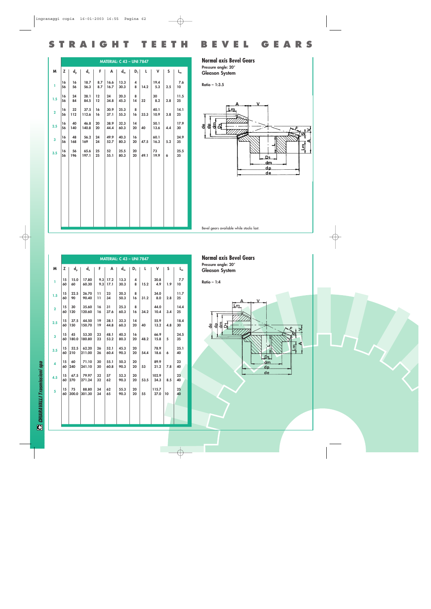|  | STRAIGHT TEETH BEVEL GEARS |
|--|----------------------------|
|--|----------------------------|

|                         |          |           |                                               |            |              | <b>MATERIAL: C 43 - UNI 7847</b> |                     |      |              |     |            |  |
|-------------------------|----------|-----------|-----------------------------------------------|------------|--------------|----------------------------------|---------------------|------|--------------|-----|------------|--|
| M                       | z        | $d_{p}$   | $\mathsf{d}_{\scriptscriptstyle{\mathrm{e}}}$ | F.         | A            | $d_m$                            | $D_1$               | L.   | v            | S   | $L_m$      |  |
| ı                       | 16<br>56 | 16<br>56  | 18.7<br>56.3                                  | 8.7<br>8.7 | 16.6<br>16.7 | 13.3<br>30.3                     | $\overline{4}$<br>8 | 14.2 | 19.4<br>5.3  | 2.5 | 7.6<br>10  |  |
| 1.5                     | 16<br>56 | 24<br>84  | 28.1<br>84.5                                  | 12<br>12   | 24<br>34.8   | 20.3<br>45.3                     | 8<br>14             | 32   | 30<br>8.2    | 2.8 | 11.5<br>25 |  |
| $\overline{\mathbf{2}}$ | 16<br>56 | 32<br>112 | 37.5<br>112.6                                 | 16<br>16   | 30.9<br>37.1 | 25.3<br>55.3                     | 8<br>16             | 33.3 | 40.1<br>10.9 | 3.8 | 14.1<br>25 |  |
| 2.5                     | 16<br>56 | 40<br>140 | 46.8<br>140.8                                 | 20<br>20   | 38.9<br>44.4 | 32.3<br>60.3                     | 14<br>20            | 40   | 50.1<br>13.6 | 4.4 | 17.9<br>30 |  |
| 3                       | 16<br>56 | 48<br>168 | 56.2<br>169                                   | 24<br>24   | 49.9<br>52.7 | 40.3<br>80.3                     | 16<br>20            | 47.5 | 60.1<br>16.3 | 5.2 | 24.9<br>35 |  |
| 3.5                     | 16<br>56 | 56<br>196 | 65.6<br>197.1                                 | 25<br>25   | 52<br>55.1   | 25.5<br>80.3                     | 20<br>20            | 49.1 | 73<br>19.9   | 6   | 25.5<br>35 |  |
|                         |          |           |                                               |            |              |                                  |                     |      |              |     |            |  |
|                         |          |           |                                               |            |              |                                  |                     |      |              |     |            |  |
|                         |          |           |                                               |            |              |                                  |                     |      |              |     |            |  |
|                         |          |           |                                               |            |              |                                  |                     |      |              |     |            |  |
|                         |          |           |                                               |            |              |                                  |                     |      |              |     |            |  |

#### **Normal axis Bevel Gears Pressure angle: 20° Gleason System**

**Ratio – 1:3.5**

![](_page_12_Figure_4.jpeg)

|                         |          |             |                 |                       |                    | <b>MATERIAL: C 43 - UNI 7847</b> |          |      |               |                 |            |
|-------------------------|----------|-------------|-----------------|-----------------------|--------------------|----------------------------------|----------|------|---------------|-----------------|------------|
| M                       | z        | $d_{p}$     | ď,              | F.                    | A                  | $d_m$                            | $D_1$    | L    | v             | S               | $L_m$      |
| T                       | 15<br>60 | 15.0<br>60  | 17.80<br>60.30  | 9.3                   | $9.3$ 17.2<br>17.1 | 13.3<br>30.3                     | 4<br>8   | 15.2 | 20.8<br>4.9   | 1.9             | 7.7<br>10  |
| 1.5                     | 15<br>60 | 22.5<br>90  | 26.70<br>90.40  | 11<br>$\overline{11}$ | 23<br>34           | 20.3<br>50.3                     | 8<br>16  | 31.2 | 34.0<br>8.0   | 2.8             | 11.7<br>25 |
| $\overline{2}$          | 15<br>60 | 30<br>120   | 35.60<br>120.60 | 16<br>16              | 31<br>37.6         | 25.3<br>60.3                     | 8<br>16  | 34.2 | 44.0<br>10.4  | 3.4             | 14.4<br>25 |
| 2.5                     | 15<br>60 | 37.5<br>150 | 44.50<br>150.70 | 19<br>19              | 38.1<br>44.8       | 32.3<br>60.3                     | 14<br>20 | 40   | 55.9<br>13.2  | 4.8             | 18.4<br>30 |
| $\overline{\mathbf{3}}$ | 15<br>60 | 45<br>180.0 | 53.30<br>180.80 | 23<br>23              | 48.1<br>53.2       | 40.3<br>80.3                     | 16<br>20 | 48.2 | 66.9<br>15.8  | 5               | 24.5<br>35 |
| 3.5                     | 15<br>60 | 52.5<br>210 | 62.20<br>211.00 | 26<br>26              | 52.1<br>60.4       | 45.3<br>90.3                     | 20<br>20 | 54.4 | 78.9<br>18.6  | 6               | 25.1<br>40 |
| 4                       | 15<br>60 | 60<br>240   | 71.10<br>241.10 | 30<br>30              | 55.1<br>60.8       | 50.3<br>90.3                     | 20<br>20 | 53   | 89.9<br>21.2  | 7.8             | 23<br>40   |
| 4.5                     | 15<br>60 | 67.5<br>270 | 79.97<br>271.24 | 32<br>32              | 57<br>62           | 52.3<br>90.3                     | 20<br>20 | 53.5 | 102.9<br>24.3 | 8.5             | 23<br>40   |
| 5                       | 15<br>60 | 75<br>300.0 | 88.80<br>301.30 | 34<br>34              | 62<br>65           | 55.3<br>90.3                     | 20<br>20 | 55   | 115.7<br>27.0 | 10 <sup>°</sup> | 25<br>40   |
|                         |          |             |                 |                       |                    |                                  |          |      |               |                 |            |
|                         |          |             |                 |                       |                    |                                  |          |      |               |                 |            |

**Normal axis Bevel Gears Pressure angle: 20° Gleason System**

**Ratio – 1:4**

![](_page_12_Figure_8.jpeg)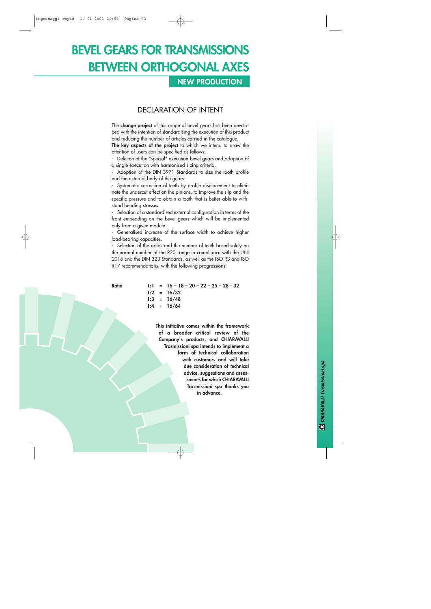### **NEW PRODUCTION**

#### DECLARATION OF INTENT

The **change project** of this range of bevel gears has been developed with the intention of standardising the execution of this product and reducing the number of articles carried in the catalogue.

**The key aspects of the project** to which we intend to draw the attention of users can be specified as follows:

- Deletion of the "special" execution bevel gears and adoption of a single execution with harmonised sizing criteria.

- Adoption of the DIN 3971 Standards to size the tooth profile and the external body of the gears.

Systematic correction of teeth by profile displacement to eliminate the undercut effect on the pinions, to improve the slip and the specific pressure and to obtain a tooth that is better able to withstand bending stresses.

Selection of a standardised external configuration in terms of the front embedding on the bevel gears which will be implemented only from a given module.

- Generalised increase of the surface width to achieve higher load-bearing capacities.

- Selection of the ratios and the number of teeth based solely on the normal number of the R20 range in compliance with the UNI 2016 and the DIN 323 Standards, as well as the ISO R3 and ISO R17 recommendations, with the following progressions:

**Ratio 1:1 = 16 – 18 – 20 – 22 – 25 – 28 - 32 1:2 = 16/32 1:3 = 16/48 1:4 = 16/64**

> **This initiative comes within the framework of a broader critical review of the Company's products, and CHIARAVALLI Trasmissioni spa intends to implement a form of technical collaboration with customers and will take due consideration of technical advice, suggestions and assessments for which CHIARAVALLI Trasmissioni spa thanks you in advance.**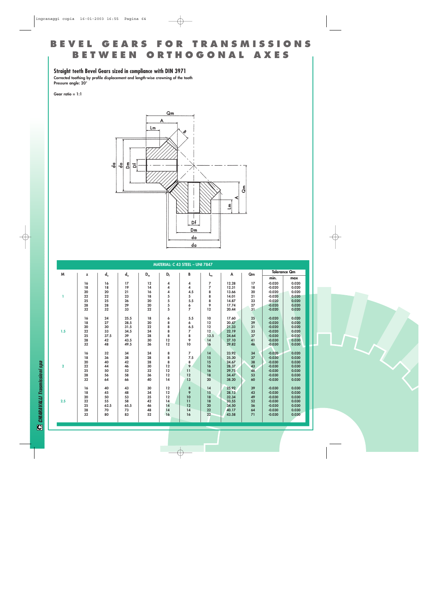#### **Straight teeth Bevel Gears sized in compliance with DIN 3971**

**Corrected toothing by profile displacement and length-wise crowning of the tooth Pressure angle: 20°**

**Gear ratio = 1:1**

![](_page_14_Figure_4.jpeg)

|              | MATERIAL: C 43 STEEL - UNI 7847 |                      |              |                           |          |                     |                 |                |          |                      |                     |  |  |  |
|--------------|---------------------------------|----------------------|--------------|---------------------------|----------|---------------------|-----------------|----------------|----------|----------------------|---------------------|--|--|--|
| M            | z                               | $\mathsf{d}_{\circ}$ | $d_a$        | $\mathsf{D}_{\mathsf{m}}$ | $D_f$    | B                   | $L_m$           | A              | Qm       |                      | <b>Tolerance Qm</b> |  |  |  |
|              |                                 |                      |              |                           |          |                     |                 |                |          | min.                 | max                 |  |  |  |
|              | 16                              | 16                   | 17           | 12                        | 4        | 4                   | 7               | 12.28          | 17       | $-0.020$             | 0.020               |  |  |  |
|              | 18                              | 18                   | 19           | 14                        | 4        | 4                   | 7               | 12.31          | 18       | $-0.020$             | 0.020               |  |  |  |
|              | 20                              | 20                   | 21           | 16                        | 4        | 4.5                 | 8               | 13.66          | 20       | $-0.020$             | 0.020               |  |  |  |
| ı            | 22                              | 22                   | 23           | 18                        | 5        | 5                   | 8               | 14.01          | 21       | $-0.020$             | 0.020               |  |  |  |
|              | 25                              | 25                   | 26           | 20                        | 5        | 5.5                 | 8               | 14.87          | 23       | $-0.020$             | 0.020               |  |  |  |
|              | 28<br>32                        | 28<br>32             | 29<br>33     | 20<br>22                  | 5<br>5   | 6<br>$\overline{z}$ | 9<br>12         | 17.74          | 27<br>31 | $-0.020$<br>$-0.020$ | 0.020               |  |  |  |
|              |                                 |                      |              |                           |          |                     |                 | 20.44          |          |                      | 0.020               |  |  |  |
|              | 16                              | 24                   | 25.5         | 18                        | 6        | 5.5                 | 10              | 17.60          | 25       | $-0.020$             | 0.020               |  |  |  |
|              | 18                              | 27                   | 28.5         | 20                        | 8        | 6                   | 12              | 20.47          | 29       | $-0.020$             | 0.020               |  |  |  |
|              | 20                              | 30                   | 31.5         | 22                        | 8        | 6.5                 | 12              | 21.33          | 31       | $-0.020$             | 0.020               |  |  |  |
| 1.5          | 22                              | 33                   | 34.5         | 24                        | 8        | $\overline{7}$      | 12              | 22.19          | 33       | $-0.020$             | 0.020               |  |  |  |
|              | 25                              | 37.5                 | 39           | 28                        | 8        | 8                   | 13.5            | 24.64          | 37       | $-0.030$             | 0.030               |  |  |  |
|              | 28<br>32                        | 42<br>48             | 43.5<br>49.5 | 30<br>36                  | 12<br>12 | 9<br>10             | 14<br>16        | 27.10<br>29.82 | 41<br>46 | $-0.030$<br>$-0.030$ | 0.030<br>0.030      |  |  |  |
|              |                                 |                      |              |                           |          |                     |                 |                |          |                      |                     |  |  |  |
|              | 16                              | 32                   | 34           | 24                        | 8        | $\overline{7}$      | 14              | 23.92          | 34       | $-0.020$             | 0.020               |  |  |  |
|              | 18                              | 36                   | 38           | 28                        | 8        | 7.5                 | 15              | 25.30          | 37       | $-0.030$             | 0.030               |  |  |  |
|              | 20                              | 40                   | 42           | 28                        | 8        | 8                   | 15              | 24.67          | 38       | $-0.030$             | 0.030               |  |  |  |
| $\mathbf{2}$ | 22                              | 44                   | 46           | 30                        | 12       | 9                   | 16              | 28.37          | 43       | $-0.030$             | 0.030               |  |  |  |
|              | 25                              | 50                   | 52           | 32                        | 12       | 11                  | 16              | 29.75          | 46       | $-0.030$             | 0.030               |  |  |  |
|              | 28                              | 56                   | 58           | 36                        | 12       | 12                  | 18              | 34.47          | 53       | $-0.030$             | 0.030               |  |  |  |
|              | 32                              | 64                   | 66           | 40                        | 14       | 13                  | 20 <sup>2</sup> | 38.20          | 60       | $-0.030$             | 0.030               |  |  |  |
|              | 16                              | 40                   | 43           | 30                        | 12       | 8                   | 14              | 25.92          | 39       | $-0.030$             | 0.030               |  |  |  |
|              | 18                              | 45                   | 48           | 34                        | 12       | 9                   | 15              | 28.13          | 43       | $-0.030$             | 0.030               |  |  |  |
|              | 20                              | 50                   | 53           | 35                        | 12       | 10                  | 18              | 32.34          | 49       | $-0.030$             | 0.030               |  |  |  |
| 2.5          | 22                              | 55                   | 58           | 42                        | 14       | 11                  | 18              | 33.55          | 52       | $-0.030$             | 0.030               |  |  |  |
|              | 25                              | 62.5                 | 65.5         | 46                        | 14       | 12                  | 20              | 34.50          | 56       | $-0.030$             | 0.030               |  |  |  |
|              | 28                              | 70                   | 73           | 48                        | 14       | 14                  | 22              | 40.17          | 64       | $-0.030$             | 0.030               |  |  |  |
|              | 32                              | 80                   | 83           | 52                        | 16       | 16                  | 22              | 43.58          | 71       | $-0.030$             | 0.030               |  |  |  |
|              |                                 |                      |              |                           |          |                     |                 |                |          |                      |                     |  |  |  |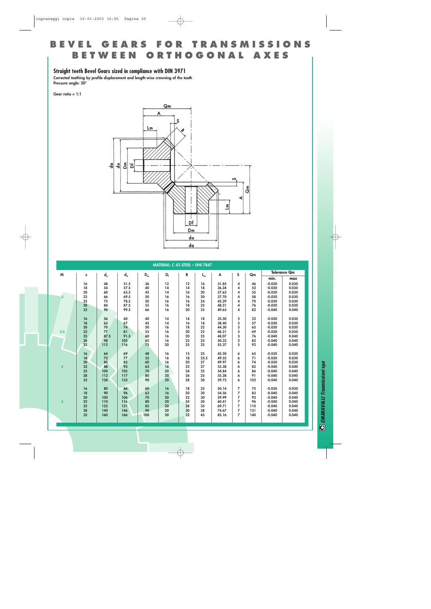#### **Straight teeth Bevel Gears sized in compliance with DIN 3971**

**Corrected toothing by profile displacement and length-wise crowning of the tooth Pressure angle: 20°**

**Gear ratio = 1:1**

![](_page_15_Figure_4.jpeg)

|                         | MATERIAL: C 43 STEEL - UNI 7847 |             |       |       |       |    |       |       |                |     |          |                     |  |
|-------------------------|---------------------------------|-------------|-------|-------|-------|----|-------|-------|----------------|-----|----------|---------------------|--|
| M                       | z                               | $d_{\circ}$ | $d_a$ | $D_m$ | $D_f$ | В  | $L_m$ | A     | S              | Qm  |          | <b>Tolerance Qm</b> |  |
|                         |                                 |             |       |       |       |    |       |       |                |     | min.     | max                 |  |
|                         | 16                              | 48          | 51.5  | 36    | 12    | 12 | 16    | 31.85 | 4              | 46  | $-0.030$ | 0.030               |  |
|                         | 18                              | 54          | 57.5  | 40    | 14    | 14 | 18    | 36.24 | 4              | 52  | $-0.030$ | 0.030               |  |
|                         | 20                              | 60          | 63.5  | 45    | 14    | 16 | 20    | 37.63 | 4              | 55  | $-0.030$ | 0.030               |  |
| 3                       | 22                              | 66          | 69.5  | 50    | 16    | 16 | 20    | 37.70 | 4              | 58  | $-0.030$ | 0.030               |  |
|                         | 25                              | 75          | 78.5  | 50    | 16    | 16 | 24    | 45.29 | 4              | 70  | $-0.030$ | 0.030               |  |
|                         | 28                              | 84          | 87.5  | 55    | 16    | 18 | 25    | 48.21 | 4              | 76  | $-0.030$ | 0.030               |  |
|                         | 32                              | 96          | 99.5  | 66    | 16    | 20 | 25    | 49.63 | 4              | 82  | $-0.040$ | 0.040               |  |
|                         | 16                              | 56          | 60    | 40    | 14    | 14 | 18    | 35.50 | 5              | 52  | $-0.030$ | 0.030               |  |
|                         | 18                              | 63          | 67    | 45    | 14    | 16 | 18    | 38.40 | 5              | 57  | $-0.030$ | 0.030               |  |
|                         | 20                              | 70          | 74    | 50    | 16    | 18 | 22    | 44.30 | 5              | 65  | $-0.030$ | 0.030               |  |
| 3.5                     | 22                              | 77          | 81    | 55    | 16    | 20 | 22    | 46.21 | 5              | 69  | $-0.030$ | 0.030               |  |
|                         | 25                              | 87.5        | 91.5  | 60    | 16    | 20 | 25    | 48.07 | 5              | 76  | $-0.040$ | 0.040               |  |
|                         | 28                              | 98          | 102   | 65    | 16    | 22 | 25    | 50.25 | 5              | 82  | $-0.040$ | 0.040               |  |
|                         | 32                              | 112         | 116   | 75    | 20    | 25 | 25    | 55.37 | 5              | 92  | $-0.040$ | 0.040               |  |
|                         | 16                              | 64          | 69    | 48    | 16    | 15 | 25    | 45.50 | 6              | 65  | $-0.030$ | 0.030               |  |
|                         | 18                              | 72          | 77    | 55    | 16    | 18 | 25.5  | 49.55 | 6              | 71  | $-0.030$ | 0.030               |  |
|                         | 20                              | 80          | 85    | 60    | 16    | 20 | 27    | 49.97 | 6              | 74  | $-0.030$ | 0.030               |  |
| $\overline{\mathbf{4}}$ | 22                              | 88          | 93    | 62    | 16    | 22 | 27    | 55.38 | 6              | 82  | $-0.040$ | 0.040               |  |
|                         | 25                              | 100         | 105   | 70    | 20    | 24 | 25    | 54.84 | 6              | 86  | $-0.040$ | 0.040               |  |
|                         | 28                              | 112         | 117   | 80    | 20    | 26 | 25    | 55.28 | 6              | 91  | $-0.040$ | 0.040               |  |
|                         | 32                              | 128         | 133   | 90    | 20    | 28 | 30    | 59.75 | 6              | 102 | $-0.040$ | 0.040               |  |
|                         |                                 |             |       |       |       |    |       |       |                |     |          |                     |  |
|                         | 16                              | 80          | 86    | 60    | 16    | 18 | 25    | 50.14 | 7              | 75  | $-0.030$ | 0.030               |  |
|                         | 18                              | 90          | 96    | 63    | 16    | 20 | 30    | 54.56 | $\overline{7}$ | 83  | $-0.040$ | 0.040               |  |
|                         | 20                              | 100         | 106   | 70    | 20    | 22 | 30    | 59.99 | $\overline{z}$ | 92  | $-0.040$ | 0.040               |  |
| $5\overline{5}$         | 22                              | 110         | 116   | 80    | 20    | 24 | 30    | 60.41 | $\overline{z}$ | 96  | $-0.040$ | 0.040               |  |
|                         | 25                              | 125         | 131   | 85    | 20    | 28 | 35    | 69.71 | $\overline{z}$ | 110 | $-0.040$ | 0.040               |  |
|                         | 28                              | 140         | 146   | 90    | 20    | 30 | 38    | 74.67 | 7              | 121 | $-0.040$ | 0.040               |  |
|                         | 32                              | 160         | 166   | 100   | 20    | 32 | 45    | 85.16 | $\overline{z}$ | 140 | $-0.040$ | 0.040               |  |
|                         |                                 |             |       |       |       |    |       |       |                |     |          |                     |  |
|                         |                                 |             |       |       |       |    |       |       |                |     |          |                     |  |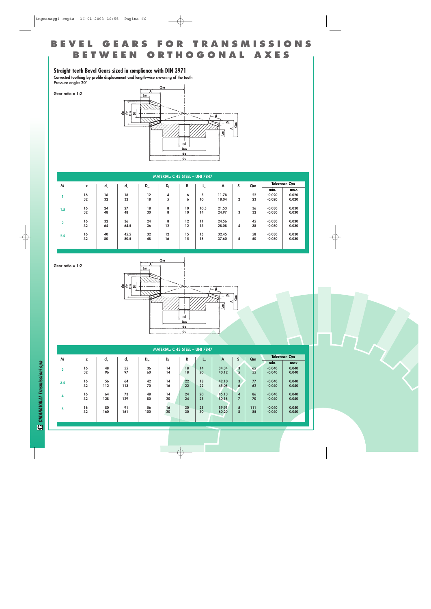#### **Straight teeth Bevel Gears sized in compliance with DIN 3971**

**Corrected toothing by profile displacement and length-wise crowning of the tooth Pressure angle: 20°**

![](_page_16_Figure_3.jpeg)

|                |    |             |       |       | MATERIAL: C 43 STEEL - UNI 7847 |    |                 |       |                |    |                   |                     |
|----------------|----|-------------|-------|-------|---------------------------------|----|-----------------|-------|----------------|----|-------------------|---------------------|
| M              | z  | $d_{\circ}$ | $d_a$ | $D_m$ | $D_{f}$                         | B  | -ա              | A     | S              | Qm |                   | <b>Tolerance Qm</b> |
|                |    |             |       |       |                                 |    |                 |       |                |    | $\bullet$<br>min. | max                 |
|                | 16 | 16          | 18    | 12    | 4                               | 6  | 5               | 11.78 |                | 22 | $-0.020$          | 0.020               |
|                | 32 | 32          | 32    | 18    | 5                               | 6  | 10 <sup>°</sup> | 18.04 | $\overline{2}$ | 23 | $-0.020$          | 0.020               |
| 1.5            | 16 | 24          | 27    | 18    | 8                               | 10 | 10.5            | 21.53 |                | 36 | $-0.030$          | 0.030               |
|                | 32 | 48          | 48    | 30    | 8                               | 10 | 14              | 24.97 | 3              | 32 | $-0.030$          | 0.030               |
| $\overline{2}$ | 16 | 32          | 36    | 24    | 8                               | 12 | 11              | 24.56 |                | 45 | $-0.030$          | 0.030               |
|                | 32 | 64          | 64.5  | 36    | 12                              | 12 | 13              | 28.08 | 4              | 38 | $-0.030$          | 0.030               |
|                | 16 | 40          | 45.5  | 32    | 12                              | 15 | 15              | 32.45 |                | 58 | $-0.030$          | 0.030               |
| 2.5            | 32 | 80          | 80.5  | 48    | 16                              | 15 | 18              | 37.60 | 5              | 50 | $-0.030$          | 0.030               |
|                |    |             |       |       |                                 |    |                 |       |                |    |                   |                     |

![](_page_16_Figure_5.jpeg)

**Gear ratio = 1:2**

![](_page_16_Figure_6.jpeg)

|     | <b>MATERIAL: C 43 STEEL - UNI 7847</b> |             |       |       |         |    |         |       |   |     |          |                     |  |
|-----|----------------------------------------|-------------|-------|-------|---------|----|---------|-------|---|-----|----------|---------------------|--|
| M   | z                                      | $d_{\circ}$ | $d_a$ | $D_m$ | $D_{f}$ | B  | $L_{m}$ | A     | S | Qm  |          | <b>Tolerance Qm</b> |  |
|     |                                        |             |       |       |         |    |         |       |   |     | min.     | max                 |  |
| 3   | 16                                     | 48          | 55    | 36    | 14      | 18 | 14      | 34.34 | 3 | 65  | $-0.040$ | 0.040               |  |
|     | 32                                     | 96          | 97    | 60    | 14      | 18 | 20      | 40.12 | 5 | 55  | $-0.040$ | 0.040               |  |
|     |                                        |             |       |       |         |    |         |       |   |     |          |                     |  |
| 3.5 | 16                                     | 56          | 64    | 42    | 14      | 22 | 18      | 42.10 | 3 | 77  | $-0.040$ | 0.040               |  |
|     | 32                                     | 112         | 113   | 70    | 16      | 22 | 22      | 45.06 | 6 | 62  | $-0.040$ | 0.040               |  |
|     |                                        |             |       |       |         |    |         |       |   |     |          |                     |  |
| 4   | 16                                     | 64          | 73    | 48    | 14      | 24 | 20      | 45.13 | 4 | 86  | $-0.040$ | 0.040               |  |
|     | 32                                     | 128         | 129   | 80    | 20      | 24 | 25      | 50.16 | 7 | 70  | $-0.040$ | 0.040               |  |
|     |                                        |             |       |       |         |    |         |       |   |     |          |                     |  |
| 5   | 16                                     | 80          | 91    | 56    | 16      | 30 | 25      | 59.91 | 5 | 111 | $-0.040$ | 0.040               |  |
|     | 32                                     | 160         | 161   | 100   | 20      | 30 | 30      | 60.20 | 8 | 85  | $-0.040$ | 0.040               |  |
|     |                                        |             |       |       |         |    |         |       |   |     |          |                     |  |
|     |                                        |             |       |       |         |    |         |       |   |     |          |                     |  |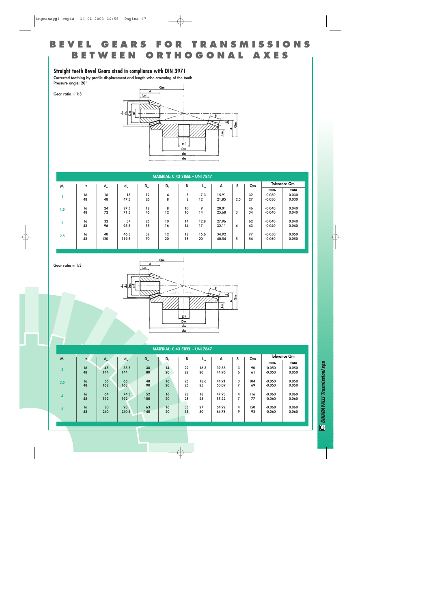#### **Straight teeth Bevel Gears sized in compliance with DIN 3971**

**Gear ratio = 1:3**

**Gear ratio = 1:3**

**Corrected toothing by profile displacement and length-wise crowning of the tooth Pressure angle: 20°**

![](_page_17_Figure_3.jpeg)

|                | MATERIAL: C 43 STEEL - UNI 7847 |             |       |       |       |    |                |       |     |    |          |                     |  |
|----------------|---------------------------------|-------------|-------|-------|-------|----|----------------|-------|-----|----|----------|---------------------|--|
| M              | z                               | $d_{\circ}$ | $d_a$ | $D_m$ | $D_f$ | В  | L <sub>m</sub> | A     | S   | Qm |          | <b>Tolerance Qm</b> |  |
|                |                                 |             |       |       |       |    |                |       |     |    | min.     | max                 |  |
|                | 16                              | 16          | 18    | 12    | 4     | 8  | 7.3            | 15.91 |     | 32 | $-0.030$ | 0.030               |  |
|                | 48                              | 48          | 47.5  | 26    | 8     | 8  | 12             | 21.85 | 2.5 | 27 | $-0.030$ | 0.030               |  |
|                |                                 |             |       |       |       |    |                |       |     |    |          |                     |  |
| 1.5            | 16                              | 24          | 27.5  | 18    | 8     | 10 | 9              | 20.01 |     | 46 | $-0.040$ | 0.040               |  |
|                | 48                              | 72          | 71.5  | 46    | 12    | 10 | 14             | 25.68 | 3   | 34 | $-0.040$ | 0.040               |  |
|                | 16                              | 32          | 37    | 25    | 10    | 14 | 12.8           | 27.96 |     | 62 | $-0.040$ | 0.040               |  |
| $\overline{2}$ | 48                              | 96          | 95.5  | 55    | 16    | 14 | 17             | 32.11 | 4   | 43 | $-0.040$ | 0.040               |  |
|                |                                 |             |       |       |       |    |                |       |     |    |          |                     |  |
| 2.5            | 16                              | 40          | 46.3  | 32    | 12    | 18 | 15.6           | 34.92 |     | 77 | $-0.050$ | 0.050               |  |
|                | 48                              | 120         | 119.5 | 70    | 20    | 18 | 20             | 40.54 | 5   | 54 | $-0.050$ | 0.050               |  |
|                |                                 |             |       |       |       |    |                |       |     |    |          |                     |  |
|                |                                 |             |       |       |       |    |                |       |     |    |          |                     |  |

![](_page_17_Figure_5.jpeg)

|     | MATERIAL: C 43 STEEL - UNI 7847 |             |       |       |       |    |      |       |   |     |          |                     |  |
|-----|---------------------------------|-------------|-------|-------|-------|----|------|-------|---|-----|----------|---------------------|--|
| M   | $\overline{\phantom{a}}$        | $d_{\circ}$ | $d_a$ | $D_m$ | $D_f$ | B  | տ    | А     | S | Qm  |          | <b>Tolerance Qm</b> |  |
|     |                                 |             |       |       |       |    |      |       |   |     | min.     | max                 |  |
| 3   | 16                              | 48          | 55.5  | 38    | 14    | 22 | 16.3 | 39.88 | 3 | 90  | $-0.050$ | 0.050               |  |
|     | 48                              | 144         | 144   | 80    | 20    | 22 | 20   | 44.96 | 6 | 61  | $-0.050$ | 0.050               |  |
| 3.5 | 16                              | 56          | 65    | 48    | 16    | 25 | 18.6 | 44.91 | 3 | 104 | $-0.050$ | 0.050               |  |
|     | 48                              | 168         | 168   | 90    | 20    | 25 | 25   | 50.09 | 7 | 69  | $-0.050$ | 0.050               |  |
| 4   | 16                              | 64          | 74.5  | 52    | 16    | 28 | 18   | 47.93 | 4 | 116 | $-0.060$ | 0.060               |  |
|     | 48                              | 192         | 192   | 100   | 20    | 28 | 25   | 55.22 | 7 | 77  | $-0.060$ | 0.060               |  |
| 5   | 16                              | 80          | 93    | 63    | 16    | 35 | 27   | 64.92 | 4 | 150 | $-0.060$ | 0.060               |  |
|     | 48                              | 240         | 240.5 | 140   | 20    | 35 | 30   | 64.78 | 9 | 92  | $-0.060$ | 0.060               |  |
|     |                                 |             |       |       |       |    |      |       |   |     |          |                     |  |
|     |                                 |             |       |       |       |    |      |       |   |     |          |                     |  |

**C** CHIARAVALLI Trasmissioni spa *CHIARAVALLI Trasmissioni spa*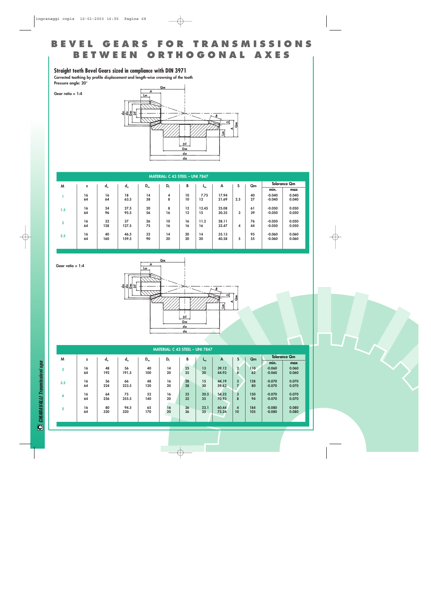#### **Straight teeth Bevel Gears sized in compliance with DIN 3971**

**Gear ratio = 1:4**

**Gear ratio = 1:4**

**Corrected toothing by profile displacement and length-wise crowning of the tooth Pressure angle: 20°**

![](_page_18_Figure_3.jpeg)

|                | <b>MATERIAL: C 43 STEEL - UNI 7847</b> |             |       |                     |       |    |       |       |     |    |          |       |  |
|----------------|----------------------------------------|-------------|-------|---------------------|-------|----|-------|-------|-----|----|----------|-------|--|
| M              | z                                      | Qm          |       | <b>Tolerance Qm</b> |       |    |       |       |     |    |          |       |  |
|                |                                        | $d_{\circ}$ | $d_a$ | $D_m$               | $D_f$ | B  | տ     | A     | S   |    | min.     | max   |  |
|                | 16                                     | 16          | 18    | 14                  | 4     | 10 | 7.75  | 17.94 |     | 40 | $-0.040$ | 0.040 |  |
|                | 64                                     | 64          | 63.5  | 38                  | 8     | 10 | 12    | 21.69 | 2.5 | 27 | $-0.040$ | 0.040 |  |
| 1.5            | 16                                     | 24          | 27.5  | 20                  | 8     | 12 | 12.45 | 25.08 |     | 61 | $-0.050$ | 0.050 |  |
|                | 64                                     | 96          | 95.5  | 56                  | 16    | 12 | 15    | 30.35 | 3   | 39 | $-0.050$ | 0.050 |  |
| $\overline{2}$ | 16                                     | 32          | 37    | 26                  | 10    | 16 | 11.2  | 28.11 |     | 76 | $-0.050$ | 0.050 |  |
|                | 64                                     | 128         | 127.5 | 75                  | 16    | 16 | 16    | 32.47 | 4   | 44 | $-0.050$ | 0.050 |  |
| 2.5            | 16                                     | 40          | 46.5  | 32                  | 14    | 20 | 14    | 35.13 |     | 95 | $-0.060$ | 0.060 |  |
|                | 64                                     | 160         | 159.5 | 90                  | 20    | 20 | 20    | 40.58 | 5   | 55 | $-0.060$ | 0.060 |  |
|                |                                        |             |       |                     |       |    |       |       |     |    |          |       |  |

![](_page_18_Figure_5.jpeg)

|     | MATERIAL: C 43 STEEL - UNI 7847 |             |       |       |       |    |         |       |                |     |                     |       |  |  |  |
|-----|---------------------------------|-------------|-------|-------|-------|----|---------|-------|----------------|-----|---------------------|-------|--|--|--|
| M   | z                               | $d_{\circ}$ | $d_a$ | $D_m$ | $D_f$ | В  | $L_{m}$ | A     | S<br>Qm        |     | <b>Tolerance Qm</b> |       |  |  |  |
|     |                                 |             |       |       |       |    |         |       |                |     | min.                | max   |  |  |  |
| 3   | 16                              | 48          | 56    | 40    | 14    | 25 | 13      | 39.12 | $\mathbf{2}$   | 110 | $-0.060$            | 0.060 |  |  |  |
|     | 64                              | 192         | 191.5 | 100   | 20    | 25 | 20      | 44.93 | $\overline{6}$ | 62  | $-0.060$            | 0.060 |  |  |  |
|     | 16                              | 56          | 66    | 48    | 16    | 28 | 15      | 44.19 | 3              | 128 | $-0.070$            | 0.070 |  |  |  |
| 3.5 | 64                              | 224         | 223.5 | 120   | 20    | 28 | 30      | 59.82 | $\overline{z}$ | 80  | $-0.070$            | 0.070 |  |  |  |
|     |                                 |             |       |       |       |    |         |       |                |     |                     |       |  |  |  |
| 4   | 16                              | 64          | 75    | 52    | 16    | 32 | 20.5    | 54.22 | 3              | 150 | $-0.070$            | 0.070 |  |  |  |
|     | 64                              | 256         | 255.5 | 140   | 20    | 32 | 35      | 70.93 | 8              | 94  | $-0.070$            | 0.070 |  |  |  |
|     | 16                              | 80          | 94.5  | 65    | 16    | 36 | 22.1    | 60.44 | 4              | 184 | $-0.080$            | 0.080 |  |  |  |
| 5   | 64                              | 320         | 320   | 170   | 20    | 36 | 35      | 75.24 | 10             | 105 | $-0.080$            | 0.080 |  |  |  |
|     |                                 |             |       |       |       |    |         |       |                |     |                     |       |  |  |  |
|     |                                 |             |       |       |       |    |         |       |                |     |                     |       |  |  |  |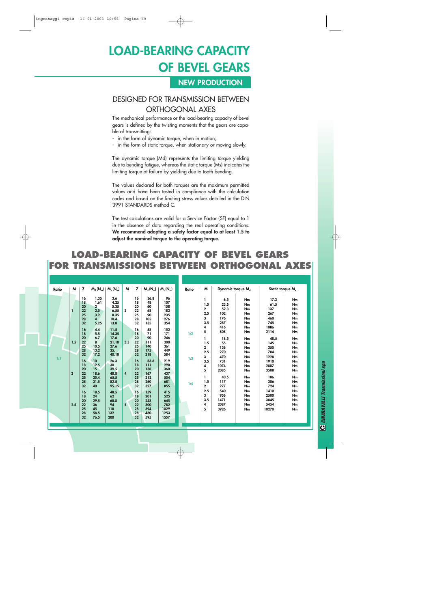# **LOAD-BEARING CAPACITY OF BEVEL GEARS**

#### **NEW PRODUCTION**

### DESIGNED FOR TRANSMISSION BETWEEN ORTHOGONAL AXES

The mechanical performance or the load-bearing capacity of bevel gears is defined by the twisting moments that the gears are capable of transmitting:

- in the form of dynamic torque, when in motion;
- in the form of static torque, when stationary or moving slowly.

The dynamic torque (Md) represents the limiting torque yielding due to bending fatigue, whereas the static torque (Ms) indicates the limiting torque at failure by yielding due to tooth bending.

The values declared for both torques are the maximum permitted values and have been tested in compliance with the calculation codes and based on the limiting stress values detailed in the DIN 3991 STANDARDS method C.

The test calculations are valid for a Service Factor (SF) equal to 1 in the absence of data regarding the real operating conditions. **We recommend adopting a safety factor equal to at least 1.5 to adjust the nominal torque to the operating torque.**

### **LOAD-BEARING CAPACITY OF BEVEL GEARS FOR TRANSMISSIONS BETWEEN ORTHOGONAL AXES**

| Ratio | M                            | z                                                                                                                                                                    | $M_d$ ( $N_m$ )                                                                                                                                                                                                                                     | $M_s(N_m)$                                                                                                                                                                                                            | M                                                     | z                                                                                                                                                                    | $M_d(N_m)$                                                                                                                                                                                  | $M_s(N_m)$                                                                                                                                                                                         | Ratio             | M                                                                                                                                                            | Dynamic torque M <sub>d</sub>                                                                                                                                                |                                                                                                                                              | Static torque M.                                                                                                                                                                    |                                                                                                                                              |
|-------|------------------------------|----------------------------------------------------------------------------------------------------------------------------------------------------------------------|-----------------------------------------------------------------------------------------------------------------------------------------------------------------------------------------------------------------------------------------------------|-----------------------------------------------------------------------------------------------------------------------------------------------------------------------------------------------------------------------|-------------------------------------------------------|----------------------------------------------------------------------------------------------------------------------------------------------------------------------|---------------------------------------------------------------------------------------------------------------------------------------------------------------------------------------------|----------------------------------------------------------------------------------------------------------------------------------------------------------------------------------------------------|-------------------|--------------------------------------------------------------------------------------------------------------------------------------------------------------|------------------------------------------------------------------------------------------------------------------------------------------------------------------------------|----------------------------------------------------------------------------------------------------------------------------------------------|-------------------------------------------------------------------------------------------------------------------------------------------------------------------------------------|----------------------------------------------------------------------------------------------------------------------------------------------|
| 1:1   | 1.5<br>$\overline{2}$<br>2.5 | 16<br>18<br>20<br>22<br>25<br>28<br>32<br>16<br>18<br>20<br>22<br>25<br>28<br>32<br>16<br>18<br>20<br>22<br>25<br>28<br>32<br>16<br>18<br>20<br>22<br>25<br>28<br>32 | 1.35<br>1.61<br>$\overline{2}$<br>2.5<br>3.2<br>$\overline{\mathbf{4}}$<br>5.25<br>4.4<br>5.5<br>6.7<br>8<br>10.5<br>13.2<br>17.2<br>10 <sup>10</sup><br>12.5<br>15<br>18.6<br>25.4<br>31.5<br>40<br>18.5<br>24<br>29.5<br>36<br>45<br>58.5<br>76.5 | 3.6<br>4.25<br>5.35<br>6.55<br>8.35<br>10.4<br>13.8<br>11.5<br>14.35<br>17.6<br>21.10<br>27.6<br>35.<br>40.10<br>26.3<br>30<br>39.5<br>48.8<br>65.5<br>82.5<br>95.15<br>48.5<br>62<br>68.8<br>94<br>118<br>132<br>200 | 3<br>3.5<br>$\overline{\mathbf{4}}$<br>5 <sup>1</sup> | 16<br>18<br>20<br>22<br>25<br>28<br>32<br>16<br>18<br>20<br>22<br>25<br>28<br>32<br>16<br>18<br>20<br>22<br>25<br>28<br>32<br>16<br>18<br>20<br>22<br>25<br>28<br>32 | 36.8<br>48<br>60<br>68<br>90<br>105<br>135<br>58<br>71<br>90<br>111<br>140<br>175<br>218<br>83.6<br>111<br>138<br>167<br>212<br>260<br>327<br>159<br>201<br>248<br>300<br>394<br>480<br>595 | 96<br>107<br>158<br>182<br>235<br>276<br>354<br>152<br>171<br>246<br>300<br>361<br>449<br>584<br>219<br>290<br>360<br>437<br>554<br>681<br>855<br>415<br>525<br>645<br>782<br>1029<br>1253<br>1557 | 1:2<br>1:3<br>1:4 | ı<br>1.5<br>$\mathbf 2$<br>2.5<br>3<br>3.5<br>4<br>5<br>1.5<br>$\mathbf{2}$<br>2.5<br>3<br>3.5<br>4<br>5<br>1.5<br>$\mathbf{2}$<br>2.5<br>3<br>3.5<br>4<br>5 | 6.5<br>23.5<br>52.3<br>102<br>176<br>287<br>416<br>808<br>18.5<br>55<br>136<br>270<br>470<br>731<br>1074<br>2085<br>40.5<br>117<br>277<br>540<br>956<br>1471<br>2087<br>3926 | Nm<br>Nm<br>Nm<br>Nm<br>Nm<br>Nm<br>Nm<br>Nm<br>Nm<br>Nm<br>Nm<br>Nm<br>Nm<br>Nm<br>Nm<br>Nm<br>Nm<br>Nm<br>Nm<br>Nm<br>Nm<br>Nm<br>Nm<br>Nm | 17.2<br>61.5<br>137<br>267<br>460<br>745<br>1086<br>2114<br>48.5<br>145<br>355<br>704<br>1228<br>1910<br>2807<br>3508<br>106<br>306<br>724<br>1410<br>2500<br>3845<br>5454<br>10270 | Nm<br>Nm<br>Nm<br>Nm<br>Nm<br>Nm<br>Nm<br>Nm<br>Nm<br>Nm<br>Nm<br>Nm<br>Nm<br>Nm<br>Nm<br>Nm<br>Nm<br>Nm<br>Nm<br>Nm<br>Nm<br>Nm<br>Nm<br>Nm |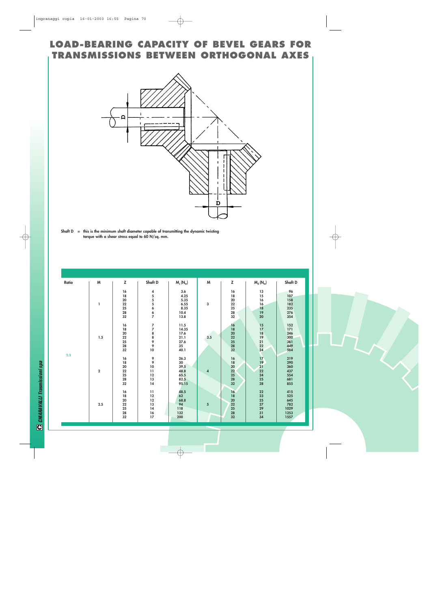### **LOAD-BEARING CAPACITY OF BEVEL GEARS FOR TRANSMISSIONS BETWEEN ORTHOGONAL AXES**

![](_page_20_Figure_1.jpeg)

**Shaft D = this is the minimum shaft diameter capable of transmitting the dynamic twisting torque with a shear stress equal to 60 N/sq. mm.**

| Ratio | M           | Z                                              | Shaft D                                                             | $M_s(N_m)$                                          | M               | z                                                      | $M_d$ ( $N_m$ )                                                       | Shaft D                                          |
|-------|-------------|------------------------------------------------|---------------------------------------------------------------------|-----------------------------------------------------|-----------------|--------------------------------------------------------|-----------------------------------------------------------------------|--------------------------------------------------|
|       | ı           | 16<br>18<br>20<br>22<br>$\frac{25}{28}$<br>32  | 4555667                                                             | 3.6<br>4.25<br>5.35<br>6.55<br>8.35<br>10.4<br>13.8 | 3               | 16<br>18<br>20<br>22<br>$\frac{25}{28}$<br>32          | 13<br>15<br>16<br>16<br>18<br>19<br>20                                | 96<br>107<br>158<br>182<br>235<br>276<br>354     |
|       | 1.5         | 16<br>18<br>${\bf 20}$<br>22<br>25<br>28<br>32 | 7788990                                                             | 11.5<br>14.35<br>17.6<br>21.1<br>27.6<br>35<br>40.1 | 3.5             | 16<br>18<br>20<br>22<br>25<br>28<br>32                 | $\frac{15}{17}$<br>18<br>19<br>21<br>22<br>24                         | 152<br>171<br>246<br>300<br>361<br>449<br>584    |
| 1:1   | $\mathbf 2$ | 16<br>18<br>20<br>22<br>25<br>28<br>32         | $\begin{array}{c} 9 \\ 9 \\ 10 \end{array}$<br>11<br>12<br>13<br>14 | 26.3<br>30<br>39.5<br>48.8<br>65.5<br>82.5<br>95.15 | $\overline{4}$  | 16<br>18<br>20<br>22<br>${\bf 25}$<br>${\bf 28}$<br>32 | $\begin{array}{c} 17 \\ 19 \\ 21 \end{array}$<br>22<br>24<br>25<br>28 | 219<br>290<br>360<br>437<br>554<br>681<br>855    |
|       | 2.5         | 16<br>18<br>20<br>22<br>25<br>28<br>32         | 11<br>12<br>12<br>13<br>14<br>16<br>17                              | 48.5<br>62<br>68.8<br>94<br>118<br>132<br>200       | $5\phantom{.0}$ | 16<br>18<br>${\bf 20}$<br>22<br>25<br>28<br>32         | 22<br>23<br>25<br>$27\,$<br>29<br>31<br>34                            | 415<br>525<br>645<br>782<br>1029<br>1253<br>1557 |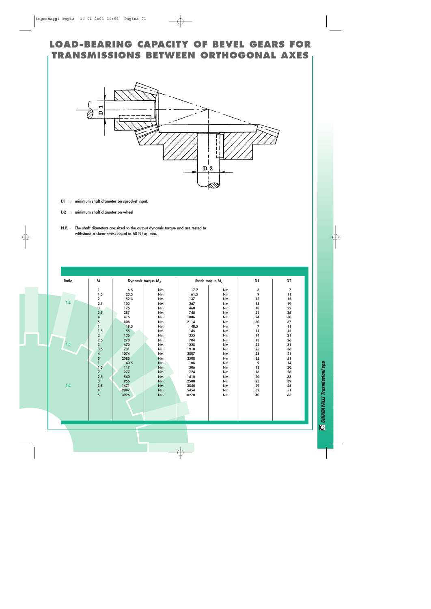### **LOAD-BEARING CAPACITY OF BEVEL GEARS FOR TRANSMISSIONS BETWEEN ORTHOGONAL AXES**

![](_page_21_Figure_1.jpeg)

- **D1 = minimum shaft diameter on sprocket input.**
- **D2 = minimum shaft diameter on wheel**
- **N.B. The shaft diameters are sized to the output dynamic torque and are tested to withstand a shear stress equal to 60 N/sq. mm.**

| Ratio | M                                       | Dynamic torque M <sub>d</sub> |           | Static torque M <sub>s</sub> |    | D <sub>1</sub>  | D <sub>2</sub>  |
|-------|-----------------------------------------|-------------------------------|-----------|------------------------------|----|-----------------|-----------------|
|       | 1                                       | 6.5                           | Nm        | 17.2                         | Nm | 6               | 7               |
|       | 1.5                                     | 23.5                          | Nm        | 61.5                         | Nm | 9               | 11              |
|       | $\overline{\mathbf{2}}$                 | 52.3                          | Nm        | 137                          | Nm | 12              | 15              |
| 1:2   | 2.5                                     | 102                           | Nm        | 267                          | Nm | 15              | 19              |
|       | 3                                       | 176                           | Nm        | 460                          | Nm | 18              | 22              |
|       | 3.5                                     | 287                           | Nm        | 745                          | Nm | 21              | 26              |
|       | 4                                       | 416                           | Nm        | 1086                         | Nm | 24              | 30              |
|       | 5                                       | 808                           | Nm        | 2114                         | Nm | 30              | 37              |
|       |                                         | 18.5                          | Nm        | 48.5                         | Nm | $\overline{7}$  | $\overline{11}$ |
|       | 1.5                                     | 55                            | Nm        | 145                          | Nm | $\overline{11}$ | 15              |
|       | $\overline{2}$                          | 136                           | Nm        | 355                          | Nm | 14              | 21              |
|       | 2.5                                     | 270                           | Nm        | 704                          | Nm | 18              | 26              |
| 1:3   | $\begin{array}{c} 3 \\ 3.5 \end{array}$ | 470                           | Nm        | 1228                         | Nm | 22              | 31              |
|       |                                         | 731                           | Nm        | 1910                         | Nm | 25              | 36              |
|       | 4                                       | 1074                          | Nm        | 2807                         | Nm | 28              | 41              |
|       | 5                                       | 2085                          | <b>Nm</b> | 3508                         | Nm | 35              | 51              |
|       | $\overline{1}$                          | 40.5                          | <b>Nm</b> | 106                          | Nm | 9               | 14              |
|       | 1.5                                     | 117                           | Nm        | 306                          | Nm | 12              | 20              |
|       | $\overline{2}$                          | 277                           | Nm        | 724                          | Nm | 16              | 26              |
|       | $2.5\,$                                 | 540                           | Nm        | 1410                         | Nm | 20              | 33              |
|       | $\overline{\mathbf{3}}$                 | 956                           | Nm        | 2500                         | Nm | 25              | 39              |
| 1:4   | 3.5                                     | 1471                          | Nm        | 3845                         | Nm | 29              | 45              |
|       | 4                                       | 2087                          | Nm        | 5454                         | Nm | 32              | 51              |
|       | 5                                       | 3926                          | Nm        | 10270                        | Nm | 40              | 63              |
|       |                                         |                               |           |                              |    |                 |                 |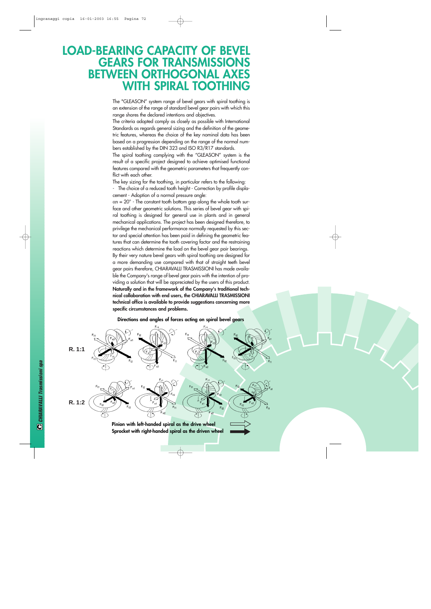## **LOAD-BEARING CAPACITY OF BEVEL GEARS FOR TRANSMISSIONS BETWEEN ORTHOGONAL AX WITH SPIRAL TOOTHING**

The "GLEASON" system range of bevel gears with spiral toothing is an extension of the range of standard bevel gear pairs with which this range shares the declared intentions and objectives.

The criteria adopted comply as closely as possible with International Standards as regards general sizing and the definition of the geometric features, whereas the choice of the key nominal data has been based on a progression depending on the range of the normal numbers established by the DIN 323 and ISO R3/R17 standards.

The spiral toothing complying with the "GLEASON" system is the result of a specific project designed to achieve optimised functional features compared with the geometric parameters that frequently conflict with each other.

The key sizing for the toothing, in particular refers to the following:

- The choice of a reduced tooth height - Correction by profile displacement - Adoption of a normal pressure angle:

 $\alpha$ n = 20° - The constant tooth bottom gap along the whole tooth surface and other geometric solutions. This series of bevel gear with spiral toothing is designed for general use in plants and in general mechanical applications. The project has been designed therefore, to privilege the mechanical performance normally requested by this sector and special attention has been paid in defining the geometric features that can determine the tooth covering factor and the restraining reactions which determine the load on the bevel gear pair bearings. By their very nature bevel gears with spiral toothing are designed for a more demanding use compared with that of straight teeth bevel gear pairs therefore, CHIARAVALLI TRASMISSIONI has made available the Company's range of bevel gear pairs with the intention of providing a solution that will be appreciated by the users of this product. **Naturally and in the framework of the Company's traditional technical collaboration with end users, the CHIARAVALLI TRASMISSIONI technical office is available to provide suggestions concerning more specific circumstances and problems.**

![](_page_22_Figure_7.jpeg)

**Directions and angles of forces acting on spiral bevel gears**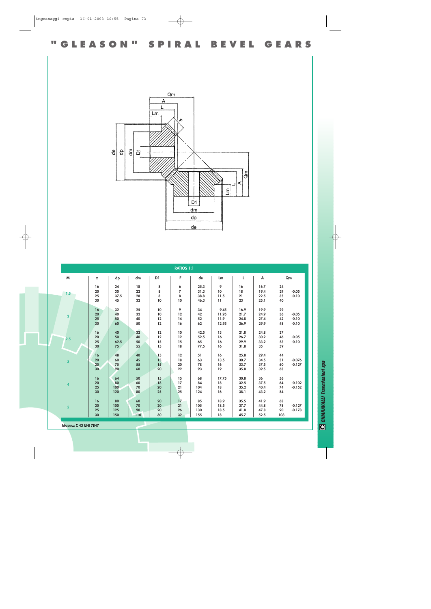**"GLEASON" SPIRAL BEVEL GEARS** 

![](_page_23_Figure_1.jpeg)

|                         |                 |      |     |            | <b>RATIOS 1:1</b> |      |       |      |      |     |          |
|-------------------------|-----------------|------|-----|------------|-------------------|------|-------|------|------|-----|----------|
| M                       | z               | dp   | dm  | D1         | F.                | de   | Lm    | L    | A    |     | Qm       |
|                         | 16              | 24   | 18  | 8          | 6                 | 25.3 | 9     | 16   | 16.7 | 24  |          |
|                         | 20              | 30   | 22  | 8          | 7                 | 31.3 | 10    | 18   | 19.4 | 29  | $-0.05$  |
| 1.5                     | 25              | 37.5 | 28  | 8          | 8                 | 38.8 | 11.5  | 21   | 22.5 | 35  | $-0.10$  |
|                         | 30              | 45   | 32  | 10         | 10                | 46.3 | 11    | 23   | 25.1 | 40  |          |
|                         | 16              | 32   | 25  | 10         | 9                 | 34   | 9.45  | 16.9 | 19.9 | 29  |          |
| $\overline{\mathbf{2}}$ | ${\bf 20}$      | 40   | 32  | $10$       | 12                | 42   | 11.95 | 21.7 | 24.9 | 36  | $-0.05$  |
|                         | 25              | 50   | 40  | 12         | 14                | 52   | 11.9  | 24.8 | 27.4 | 42  | $-0.10$  |
|                         | 30 <sup>2</sup> | 60   | 50  | 12         | 16                | 62   | 12.95 | 26.9 | 29.9 | 48  | $-0.10$  |
|                         | 16              | 40   | 32  | 12         | 10                | 42.5 | 13    | 21.8 | 24.8 | 37  |          |
| 2.5                     | 20              | 50   | 40  | 12         | 12                | 52.5 | 16    | 26.7 | 30.2 | 46  | $-0.05$  |
|                         | 25              | 62.5 | 50  | 15         | 15                | 65   | 16    | 29.9 | 33.2 | 53  | $-0.10$  |
|                         | 30              | 75   | 55  | 15         | 18                | 77.5 | 16    | 31.8 | 35   | 59  |          |
|                         | 16              | 48   | 40  | 15         | 12                | 51   | 16    | 25.8 | 29.4 | 44  |          |
|                         | ${\bf 20}$      | 60   | 45  | 15         | 18                | 63   | 13.5  | 30.7 | 34.5 | 51  | $-0.076$ |
| $\overline{\mathbf{3}}$ | 25              | 75   | 55  | 15         | 20                | 78   | 16    | 33.7 | 37.5 | 60  | $-0.127$ |
|                         | 30 <sup>°</sup> | 90   | 60  | 20         | 22                | 93   | 19    | 35.8 | 39.5 | 68  |          |
|                         | 16              | 64   | 50  | 15         | 15                | 68   | 17.75 | 30.8 | 36   | 56  |          |
|                         | ${\bf 20}$      | 80   | 60  | 18         | 17                | 84   | 18    | 32.5 | 37.5 | 64  | $-0.102$ |
| 4                       | 25              | 100  | 70  | ${\bf 20}$ | 21                | 104  | 18    | 35.2 | 40.4 | 74  | $-0.152$ |
|                         | 30              | 120  | 80  | 25         | 25                | 124  | 16    | 38.1 | 43.2 | 84  |          |
|                         | 16              | 80   | 60  | 20         | 17                | 85   | 18.9  | 35.5 | 41.9 | 68  |          |
|                         | 20              | 100  | 70  | 20         | 21                | 105  | 18.5  | 37.7 | 44.8 | 78  | $-0.127$ |
| $\overline{\mathbf{5}}$ | 25              | 125  | 90  | 20         | 26                | 130  | 18.5  | 41.8 | 47.8 | 90  | $-0.178$ |
|                         | 30              | 150  | 110 | 30         | 32                | 155  | 18    | 45.7 | 52.5 | 103 |          |

**MATERIAL: C 43 UNI 7847**